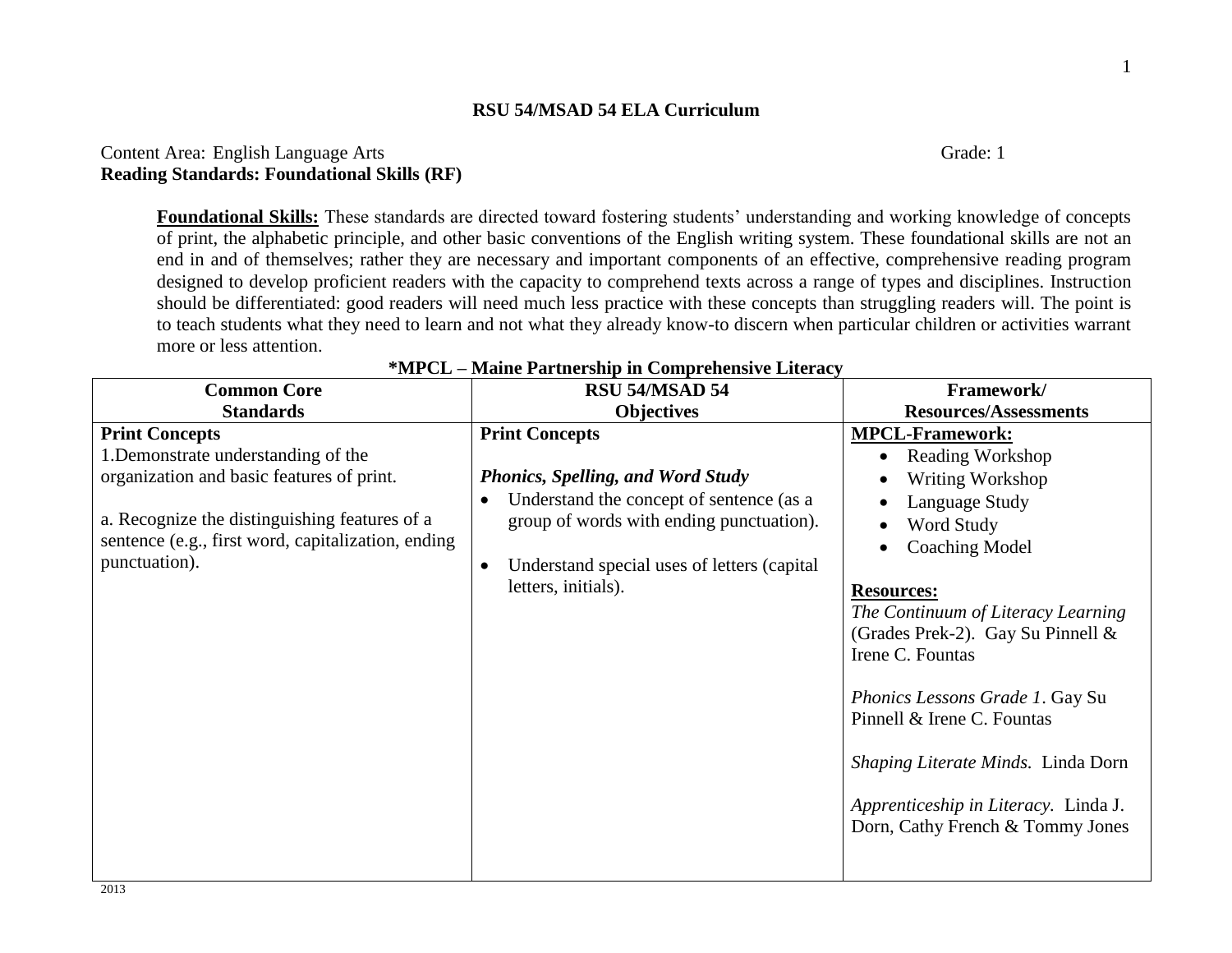# Content Area: English Language Arts Grade: 1 **Reading Standards: Foundational Skills (RF)**

**Foundational Skills:** These standards are directed toward fostering students' understanding and working knowledge of concepts of print, the alphabetic principle, and other basic conventions of the English writing system. These foundational skills are not an end in and of themselves; rather they are necessary and important components of an effective, comprehensive reading program designed to develop proficient readers with the capacity to comprehend texts across a range of types and disciplines. Instruction should be differentiated: good readers will need much less practice with these concepts than struggling readers will. The point is to teach students what they need to learn and not what they already know-to discern when particular children or activities warrant more or less attention.

| <b>Common Core</b>                                                                                                                                                                                                                | RSU 54/MSAD 54                                                                                                                                                                                                                               | Framework/                                                                                                                                                                                                                                                                                                                                                                                                                              |
|-----------------------------------------------------------------------------------------------------------------------------------------------------------------------------------------------------------------------------------|----------------------------------------------------------------------------------------------------------------------------------------------------------------------------------------------------------------------------------------------|-----------------------------------------------------------------------------------------------------------------------------------------------------------------------------------------------------------------------------------------------------------------------------------------------------------------------------------------------------------------------------------------------------------------------------------------|
| <b>Standards</b>                                                                                                                                                                                                                  | <b>Objectives</b>                                                                                                                                                                                                                            | <b>Resources/Assessments</b>                                                                                                                                                                                                                                                                                                                                                                                                            |
| <b>Print Concepts</b><br>1. Demonstrate understanding of the<br>organization and basic features of print.<br>a. Recognize the distinguishing features of a<br>sentence (e.g., first word, capitalization, ending<br>punctuation). | <b>Print Concepts</b><br><b>Phonics, Spelling, and Word Study</b><br>Understand the concept of sentence (as a<br>group of words with ending punctuation).<br>Understand special uses of letters (capital<br>$\bullet$<br>letters, initials). | <b>MPCL-Framework:</b><br><b>Reading Workshop</b><br>Writing Workshop<br>Language Study<br>Word Study<br><b>Coaching Model</b><br><b>Resources:</b><br>The Continuum of Literacy Learning<br>(Grades Prek-2). Gay Su Pinnell $&$<br>Irene C. Fountas<br>Phonics Lessons Grade 1. Gay Su<br>Pinnell & Irene C. Fountas<br>Shaping Literate Minds. Linda Dorn<br>Apprenticeship in Literacy. Linda J.<br>Dorn, Cathy French & Tommy Jones |

| *MPCL - Maine Partnership in Comprehensive Literacy |  |  |
|-----------------------------------------------------|--|--|
|                                                     |  |  |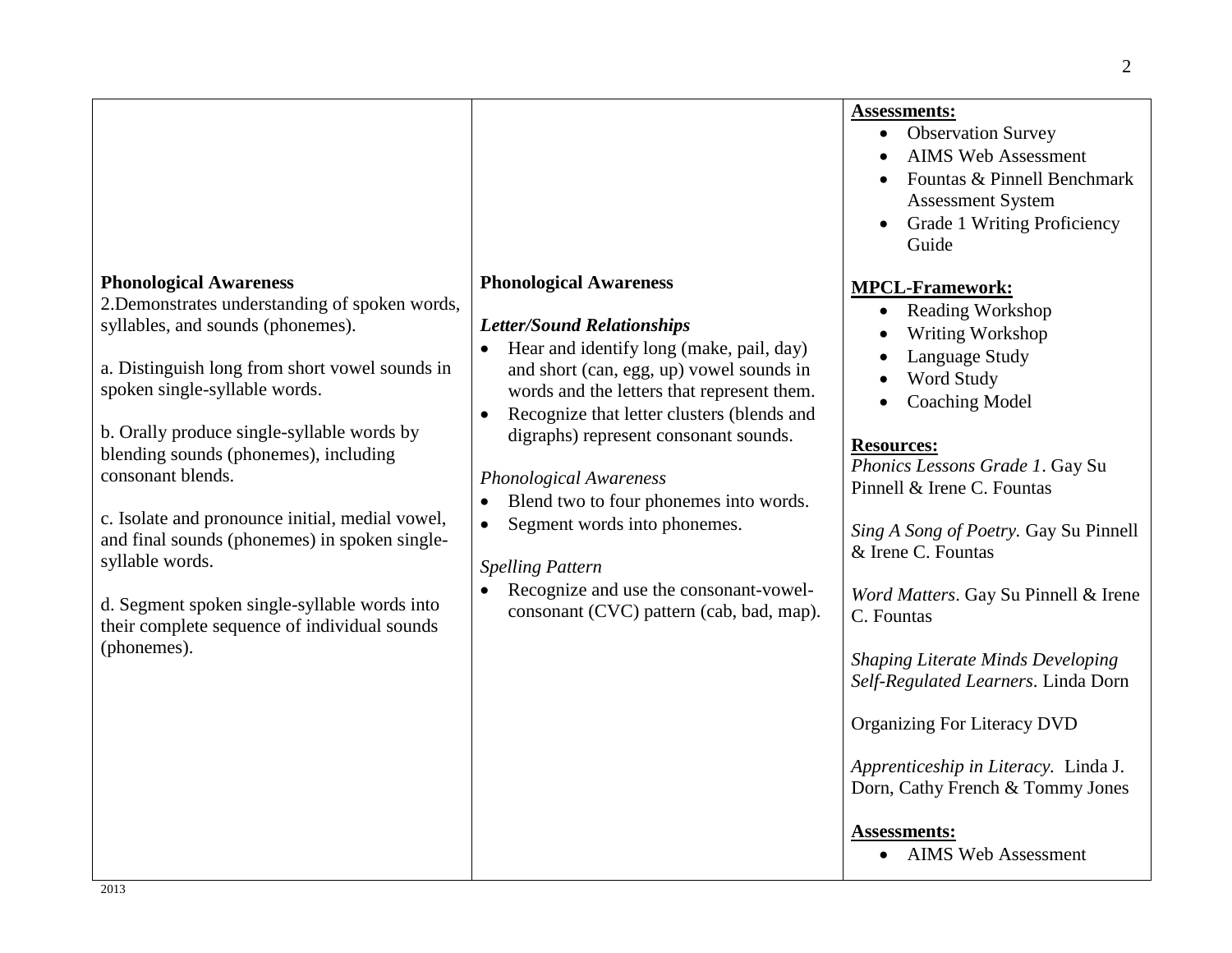|                                                                                                                                                                                                                                                                                                                                                                                                                                                                                                                                                           |                                                                                                                                                                                                                                                                                                                                                                                                                                                                                                                                          | <b>Assessments:</b><br><b>Observation Survey</b><br><b>AIMS Web Assessment</b><br>Fountas & Pinnell Benchmark<br>Assessment System<br><b>Grade 1 Writing Proficiency</b><br>Guide                                                                                                                                                                                                                                                                                                                                                                                                                         |
|-----------------------------------------------------------------------------------------------------------------------------------------------------------------------------------------------------------------------------------------------------------------------------------------------------------------------------------------------------------------------------------------------------------------------------------------------------------------------------------------------------------------------------------------------------------|------------------------------------------------------------------------------------------------------------------------------------------------------------------------------------------------------------------------------------------------------------------------------------------------------------------------------------------------------------------------------------------------------------------------------------------------------------------------------------------------------------------------------------------|-----------------------------------------------------------------------------------------------------------------------------------------------------------------------------------------------------------------------------------------------------------------------------------------------------------------------------------------------------------------------------------------------------------------------------------------------------------------------------------------------------------------------------------------------------------------------------------------------------------|
| <b>Phonological Awareness</b><br>2. Demonstrates understanding of spoken words,<br>syllables, and sounds (phonemes).<br>a. Distinguish long from short vowel sounds in<br>spoken single-syllable words.<br>b. Orally produce single-syllable words by<br>blending sounds (phonemes), including<br>consonant blends.<br>c. Isolate and pronounce initial, medial vowel,<br>and final sounds (phonemes) in spoken single-<br>syllable words.<br>d. Segment spoken single-syllable words into<br>their complete sequence of individual sounds<br>(phonemes). | <b>Phonological Awareness</b><br><b>Letter/Sound Relationships</b><br>Hear and identify long (make, pail, day)<br>and short (can, egg, up) vowel sounds in<br>words and the letters that represent them.<br>Recognize that letter clusters (blends and<br>digraphs) represent consonant sounds.<br><b>Phonological Awareness</b><br>Blend two to four phonemes into words.<br>Segment words into phonemes.<br><b>Spelling Pattern</b><br>Recognize and use the consonant-vowel-<br>$\bullet$<br>consonant (CVC) pattern (cab, bad, map). | <b>MPCL-Framework:</b><br><b>Reading Workshop</b><br>$\bullet$<br>Writing Workshop<br>Language Study<br>Word Study<br><b>Coaching Model</b><br><b>Resources:</b><br>Phonics Lessons Grade 1. Gay Su<br>Pinnell & Irene C. Fountas<br>Sing A Song of Poetry. Gay Su Pinnell<br>& Irene C. Fountas<br>Word Matters. Gay Su Pinnell & Irene<br>C. Fountas<br><b>Shaping Literate Minds Developing</b><br>Self-Regulated Learners. Linda Dorn<br>Organizing For Literacy DVD<br>Apprenticeship in Literacy. Linda J.<br>Dorn, Cathy French & Tommy Jones<br><b>Assessments:</b><br><b>AIMS Web Assessment</b> |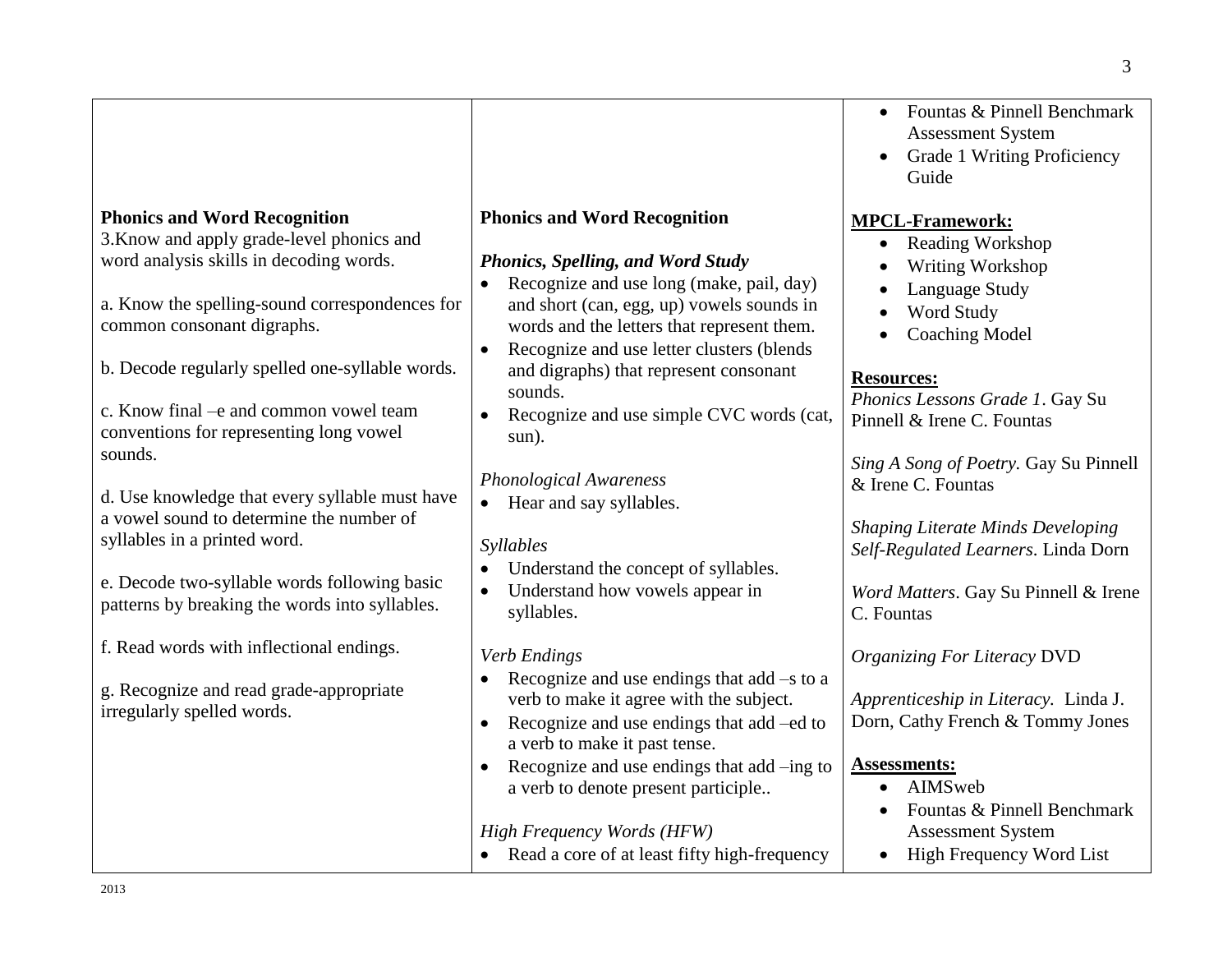|                                                                                                                                                                                                                                                                                                                                                                                                                                                                                                                                                                                                 |                                                                                                                                                                                                                                                                                                                                                                                                                                                                                                                                                                             | Fountas & Pinnell Benchmark<br>$\bullet$<br><b>Assessment System</b><br>Grade 1 Writing Proficiency<br>Guide                                                                                                                                                                                                                                                                                                                       |
|-------------------------------------------------------------------------------------------------------------------------------------------------------------------------------------------------------------------------------------------------------------------------------------------------------------------------------------------------------------------------------------------------------------------------------------------------------------------------------------------------------------------------------------------------------------------------------------------------|-----------------------------------------------------------------------------------------------------------------------------------------------------------------------------------------------------------------------------------------------------------------------------------------------------------------------------------------------------------------------------------------------------------------------------------------------------------------------------------------------------------------------------------------------------------------------------|------------------------------------------------------------------------------------------------------------------------------------------------------------------------------------------------------------------------------------------------------------------------------------------------------------------------------------------------------------------------------------------------------------------------------------|
| <b>Phonics and Word Recognition</b><br>3. Know and apply grade-level phonics and<br>word analysis skills in decoding words.<br>a. Know the spelling-sound correspondences for<br>common consonant digraphs.<br>b. Decode regularly spelled one-syllable words.<br>c. Know final - e and common vowel team<br>conventions for representing long vowel<br>sounds.<br>d. Use knowledge that every syllable must have<br>a vowel sound to determine the number of<br>syllables in a printed word.<br>e. Decode two-syllable words following basic<br>patterns by breaking the words into syllables. | <b>Phonics and Word Recognition</b><br><b>Phonics, Spelling, and Word Study</b><br>Recognize and use long (make, pail, day)<br>$\bullet$<br>and short (can, egg, up) vowels sounds in<br>words and the letters that represent them.<br>Recognize and use letter clusters (blends<br>$\bullet$<br>and digraphs) that represent consonant<br>sounds.<br>Recognize and use simple CVC words (cat,<br>sun).<br><b>Phonological Awareness</b><br>• Hear and say syllables.<br>Syllables<br>Understand the concept of syllables.<br>Understand how vowels appear in<br>syllables. | <b>MPCL-Framework:</b><br>Reading Workshop<br>$\bullet$<br>Writing Workshop<br>Language Study<br>Word Study<br><b>Coaching Model</b><br><b>Resources:</b><br>Phonics Lessons Grade 1. Gay Su<br>Pinnell & Irene C. Fountas<br>Sing A Song of Poetry. Gay Su Pinnell<br>& Irene C. Fountas<br><b>Shaping Literate Minds Developing</b><br>Self-Regulated Learners. Linda Dorn<br>Word Matters. Gay Su Pinnell & Irene<br>C. Fountas |
| f. Read words with inflectional endings.<br>g. Recognize and read grade-appropriate<br>irregularly spelled words.                                                                                                                                                                                                                                                                                                                                                                                                                                                                               | Verb Endings<br>Recognize and use endings that $add -s$ to a<br>verb to make it agree with the subject.<br>Recognize and use endings that add –ed to<br>$\bullet$<br>a verb to make it past tense.<br>Recognize and use endings that add -ing to<br>a verb to denote present participle                                                                                                                                                                                                                                                                                     | <b>Organizing For Literacy DVD</b><br>Apprenticeship in Literacy. Linda J.<br>Dorn, Cathy French & Tommy Jones<br><b>Assessments:</b><br>AIMSweb<br>$\bullet$                                                                                                                                                                                                                                                                      |
|                                                                                                                                                                                                                                                                                                                                                                                                                                                                                                                                                                                                 | <b>High Frequency Words (HFW)</b><br>• Read a core of at least fifty high-frequency                                                                                                                                                                                                                                                                                                                                                                                                                                                                                         | Fountas & Pinnell Benchmark<br><b>Assessment System</b><br>High Frequency Word List<br>$\bullet$                                                                                                                                                                                                                                                                                                                                   |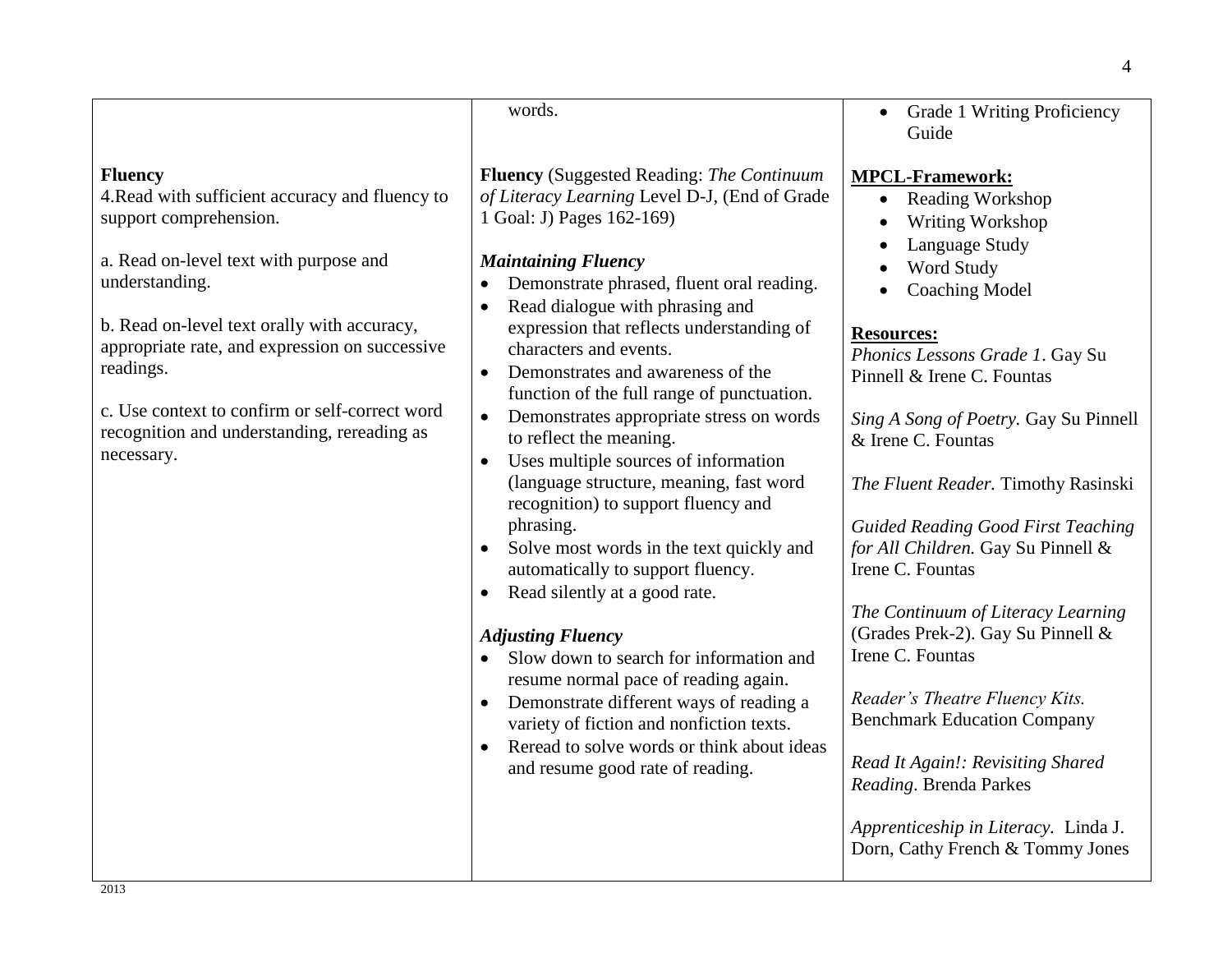|                                                                                                                                                                                                                                                                                                                                                                                      | words.                                                                                                                                                                                                                                                                                                                                                                                                                                                                                                                                                                                                                                                                                                                                                                                                                                                                                                                                                                                                                                                                                                                    | <b>Grade 1 Writing Proficiency</b><br>Guide                                                                                                                                                                                                                                                                                                                                                                                                                                                                                                                                                                                                                                                                                                               |
|--------------------------------------------------------------------------------------------------------------------------------------------------------------------------------------------------------------------------------------------------------------------------------------------------------------------------------------------------------------------------------------|---------------------------------------------------------------------------------------------------------------------------------------------------------------------------------------------------------------------------------------------------------------------------------------------------------------------------------------------------------------------------------------------------------------------------------------------------------------------------------------------------------------------------------------------------------------------------------------------------------------------------------------------------------------------------------------------------------------------------------------------------------------------------------------------------------------------------------------------------------------------------------------------------------------------------------------------------------------------------------------------------------------------------------------------------------------------------------------------------------------------------|-----------------------------------------------------------------------------------------------------------------------------------------------------------------------------------------------------------------------------------------------------------------------------------------------------------------------------------------------------------------------------------------------------------------------------------------------------------------------------------------------------------------------------------------------------------------------------------------------------------------------------------------------------------------------------------------------------------------------------------------------------------|
| <b>Fluency</b><br>4. Read with sufficient accuracy and fluency to<br>support comprehension.<br>a. Read on-level text with purpose and<br>understanding.<br>b. Read on-level text orally with accuracy,<br>appropriate rate, and expression on successive<br>readings.<br>c. Use context to confirm or self-correct word<br>recognition and understanding, rereading as<br>necessary. | <b>Fluency</b> (Suggested Reading: The Continuum<br>of Literacy Learning Level D-J, (End of Grade<br>1 Goal: J) Pages 162-169)<br><b>Maintaining Fluency</b><br>Demonstrate phrased, fluent oral reading.<br>Read dialogue with phrasing and<br>$\bullet$<br>expression that reflects understanding of<br>characters and events.<br>Demonstrates and awareness of the<br>$\bullet$<br>function of the full range of punctuation.<br>Demonstrates appropriate stress on words<br>$\bullet$<br>to reflect the meaning.<br>Uses multiple sources of information<br>$\bullet$<br>(language structure, meaning, fast word<br>recognition) to support fluency and<br>phrasing.<br>Solve most words in the text quickly and<br>automatically to support fluency.<br>Read silently at a good rate.<br>$\bullet$<br><b>Adjusting Fluency</b><br>Slow down to search for information and<br>$\bullet$<br>resume normal pace of reading again.<br>Demonstrate different ways of reading a<br>variety of fiction and nonfiction texts.<br>Reread to solve words or think about ideas<br>$\bullet$<br>and resume good rate of reading. | <b>MPCL-Framework:</b><br>Reading Workshop<br>$\bullet$<br>Writing Workshop<br>Language Study<br>Word Study<br><b>Coaching Model</b><br><b>Resources:</b><br>Phonics Lessons Grade 1. Gay Su<br>Pinnell & Irene C. Fountas<br>Sing A Song of Poetry. Gay Su Pinnell<br>& Irene C. Fountas<br>The Fluent Reader. Timothy Rasinski<br><b>Guided Reading Good First Teaching</b><br>for All Children. Gay Su Pinnell &<br>Irene C. Fountas<br>The Continuum of Literacy Learning<br>(Grades Prek-2). Gay Su Pinnell &<br>Irene C. Fountas<br>Reader's Theatre Fluency Kits.<br><b>Benchmark Education Company</b><br>Read It Again!: Revisiting Shared<br>Reading. Brenda Parkes<br>Apprenticeship in Literacy. Linda J.<br>Dorn, Cathy French & Tommy Jones |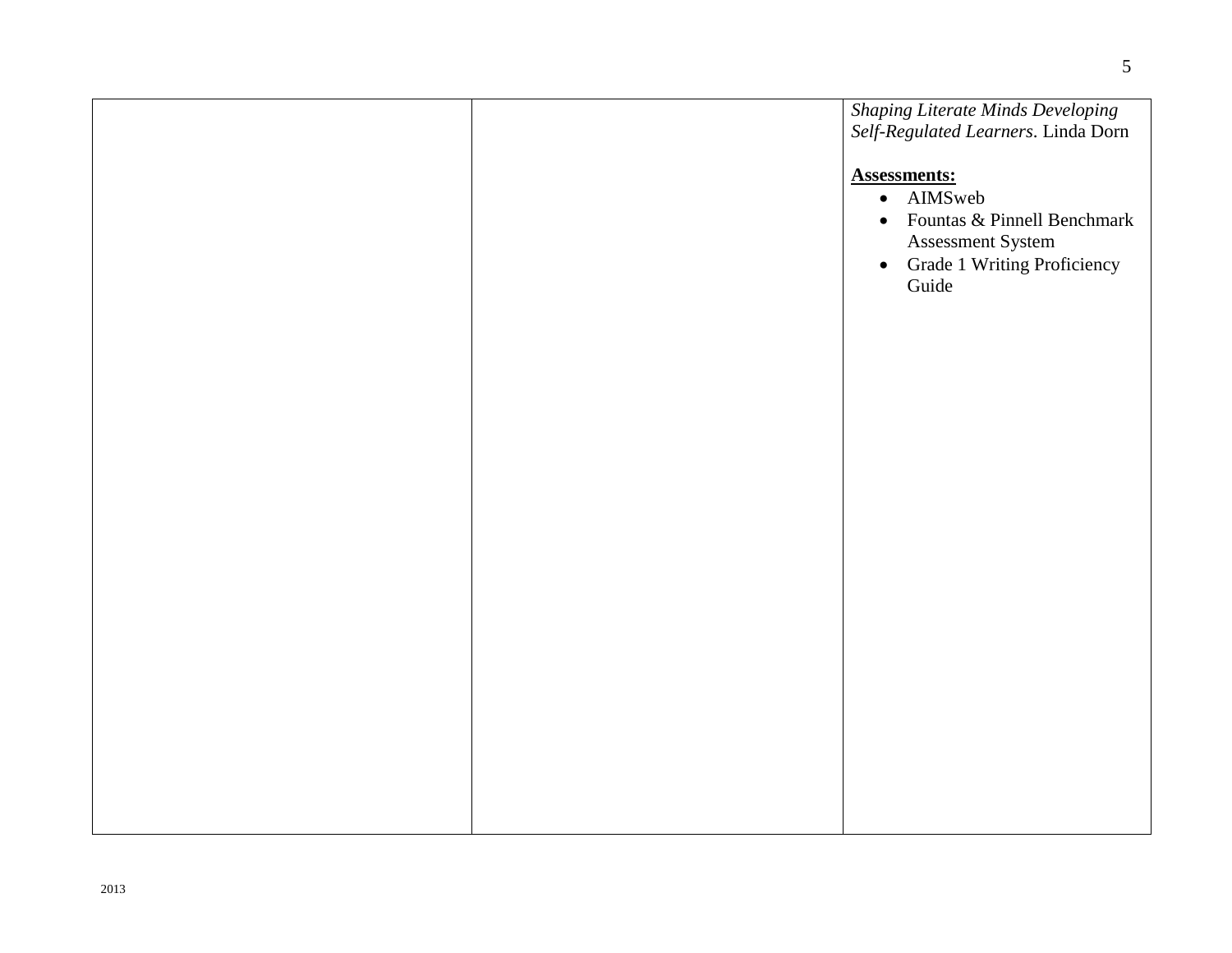|  | <b>Shaping Literate Minds Developing</b><br>Self-Regulated Learners. Linda Dorn                                                  |
|--|----------------------------------------------------------------------------------------------------------------------------------|
|  | <b>Assessments:</b><br>· AIMSweb<br>• Fountas & Pinnell Benchmark<br>Assessment System<br>• Grade 1 Writing Proficiency<br>Guide |
|  |                                                                                                                                  |
|  |                                                                                                                                  |
|  |                                                                                                                                  |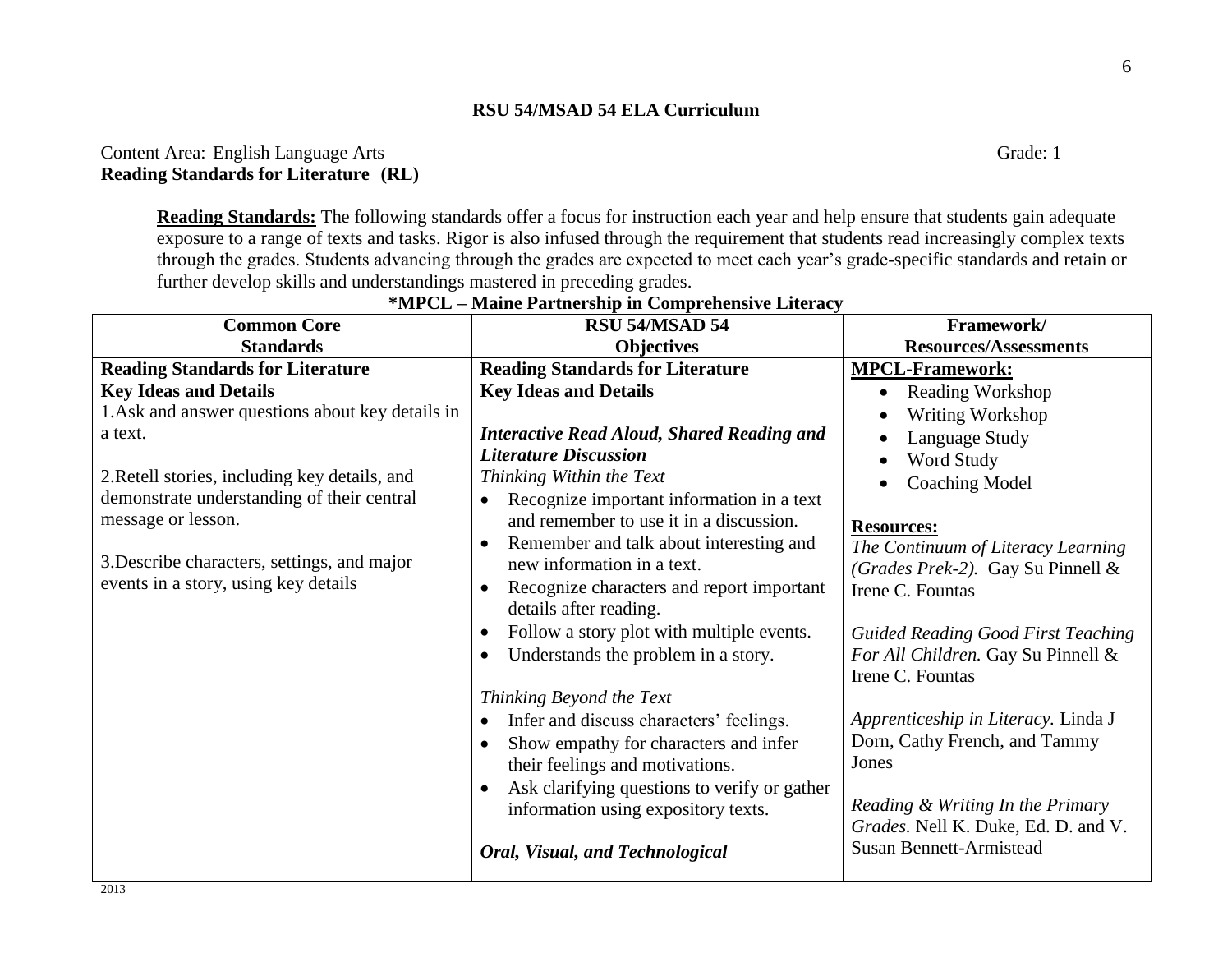# Content Area: English Language Arts Grade: 1 **Reading Standards for Literature (RL)**

**Reading Standards:** The following standards offer a focus for instruction each year and help ensure that students gain adequate exposure to a range of texts and tasks. Rigor is also infused through the requirement that students read increasingly complex texts through the grades. Students advancing through the grades are expected to meet each year's grade-specific standards and retain or further develop skills and understandings mastered in preceding grades.

| <b>Common Core</b>                                                                                                                                                                                                                                                                                      | <b>RSU 54/MSAD 54</b>                                                                                                                                                                                                                                                                                                                                                                                | Framework/                                                                                                                                                                                                                                                                                        |
|---------------------------------------------------------------------------------------------------------------------------------------------------------------------------------------------------------------------------------------------------------------------------------------------------------|------------------------------------------------------------------------------------------------------------------------------------------------------------------------------------------------------------------------------------------------------------------------------------------------------------------------------------------------------------------------------------------------------|---------------------------------------------------------------------------------------------------------------------------------------------------------------------------------------------------------------------------------------------------------------------------------------------------|
| <b>Standards</b>                                                                                                                                                                                                                                                                                        | <b>Objectives</b>                                                                                                                                                                                                                                                                                                                                                                                    | <b>Resources/Assessments</b>                                                                                                                                                                                                                                                                      |
| <b>Reading Standards for Literature</b>                                                                                                                                                                                                                                                                 | <b>Reading Standards for Literature</b>                                                                                                                                                                                                                                                                                                                                                              | <b>MPCL-Framework:</b>                                                                                                                                                                                                                                                                            |
| <b>Key Ideas and Details</b><br>1. Ask and answer questions about key details in<br>a text.<br>2. Retell stories, including key details, and<br>demonstrate understanding of their central<br>message or lesson.<br>3. Describe characters, settings, and major<br>events in a story, using key details | <b>Key Ideas and Details</b><br><b>Interactive Read Aloud, Shared Reading and</b><br><b>Literature Discussion</b><br>Thinking Within the Text<br>Recognize important information in a text<br>and remember to use it in a discussion.<br>Remember and talk about interesting and<br>$\bullet$<br>new information in a text.<br>Recognize characters and report important<br>$\bullet$                | Reading Workshop<br>$\bullet$<br>Writing Workshop<br>Language Study<br>Word Study<br><b>Coaching Model</b><br><b>Resources:</b><br>The Continuum of Literacy Learning<br>(Grades Prek-2). Gay Su Pinnell &<br>Irene C. Fountas                                                                    |
| 2012                                                                                                                                                                                                                                                                                                    | details after reading.<br>Follow a story plot with multiple events.<br>Understands the problem in a story.<br>Thinking Beyond the Text<br>Infer and discuss characters' feelings.<br>Show empathy for characters and infer<br>their feelings and motivations.<br>Ask clarifying questions to verify or gather<br>$\bullet$<br>information using expository texts.<br>Oral, Visual, and Technological | <b>Guided Reading Good First Teaching</b><br>For All Children. Gay Su Pinnell &<br>Irene C. Fountas<br>Apprenticeship in Literacy. Linda J<br>Dorn, Cathy French, and Tammy<br>Jones<br>Reading & Writing In the Primary<br>Grades. Nell K. Duke, Ed. D. and V.<br><b>Susan Bennett-Armistead</b> |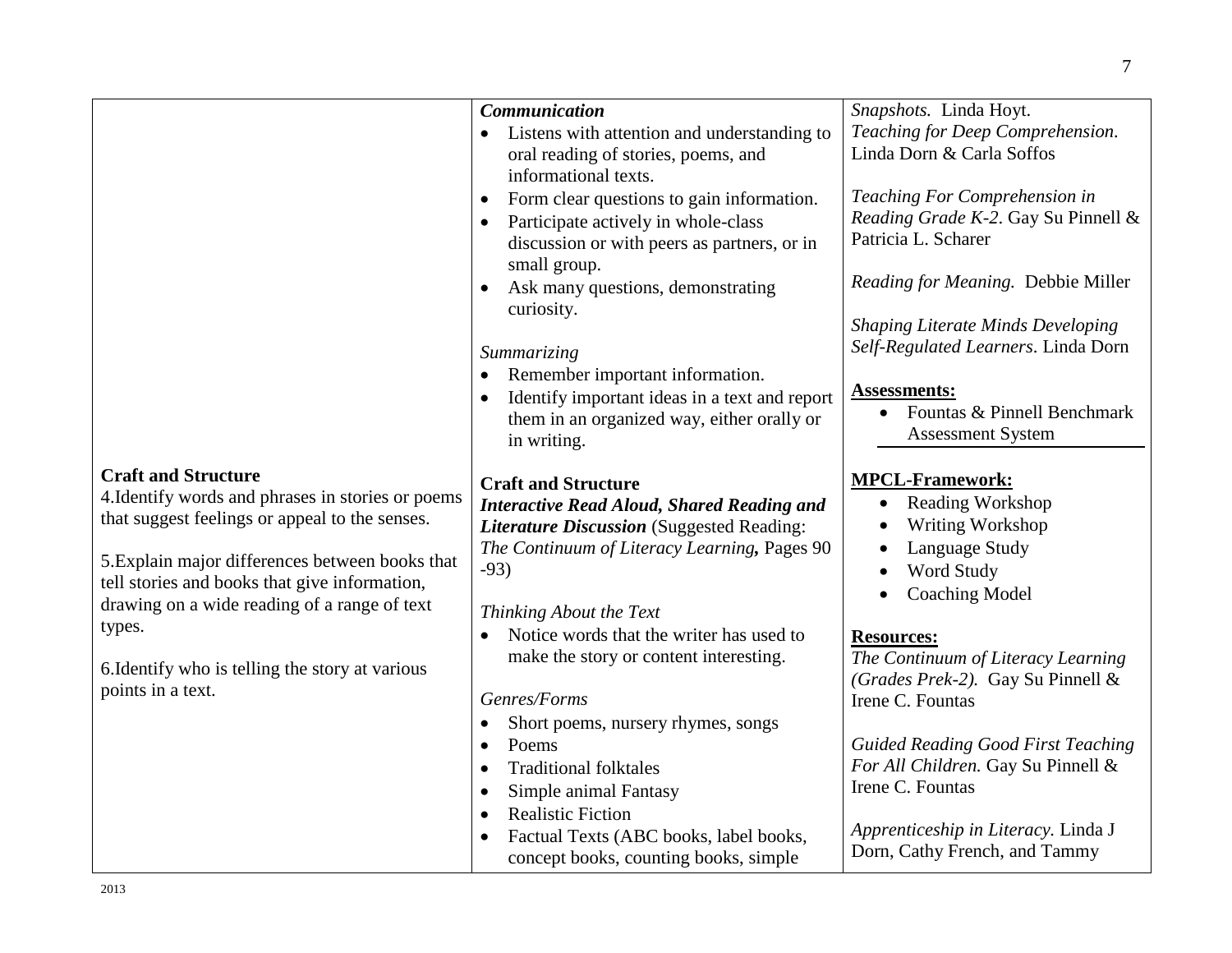|                                                   | <b>Communication</b>                                   | Snapshots. Linda Hoyt.                    |
|---------------------------------------------------|--------------------------------------------------------|-------------------------------------------|
|                                                   | Listens with attention and understanding to            | Teaching for Deep Comprehension.          |
|                                                   | oral reading of stories, poems, and                    | Linda Dorn & Carla Soffos                 |
|                                                   | informational texts.                                   |                                           |
|                                                   | Form clear questions to gain information.<br>$\bullet$ | Teaching For Comprehension in             |
|                                                   | Participate actively in whole-class                    | Reading Grade K-2. Gay Su Pinnell &       |
|                                                   | discussion or with peers as partners, or in            | Patricia L. Scharer                       |
|                                                   | small group.                                           |                                           |
|                                                   | Ask many questions, demonstrating                      | Reading for Meaning. Debbie Miller        |
|                                                   | curiosity.                                             |                                           |
|                                                   |                                                        | <b>Shaping Literate Minds Developing</b>  |
|                                                   | Summarizing                                            | Self-Regulated Learners. Linda Dorn       |
|                                                   | Remember important information.                        |                                           |
|                                                   | Identify important ideas in a text and report          | <b>Assessments:</b>                       |
|                                                   | them in an organized way, either orally or             | Fountas & Pinnell Benchmark               |
|                                                   | in writing.                                            | <b>Assessment System</b>                  |
|                                                   |                                                        |                                           |
| <b>Craft and Structure</b>                        | <b>Craft and Structure</b>                             | <b>MPCL-Framework:</b>                    |
| 4. Identify words and phrases in stories or poems | <b>Interactive Read Aloud, Shared Reading and</b>      | <b>Reading Workshop</b><br>$\bullet$      |
| that suggest feelings or appeal to the senses.    | <b>Literature Discussion</b> (Suggested Reading:       | Writing Workshop                          |
|                                                   | The Continuum of Literacy Learning, Pages 90           | Language Study                            |
| 5. Explain major differences between books that   | $-93)$                                                 | <b>Word Study</b>                         |
| tell stories and books that give information,     |                                                        | <b>Coaching Model</b>                     |
| drawing on a wide reading of a range of text      | Thinking About the Text                                |                                           |
| types.                                            | Notice words that the writer has used to               | <b>Resources:</b>                         |
|                                                   | make the story or content interesting.                 | The Continuum of Literacy Learning        |
| 6. Identify who is telling the story at various   |                                                        | (Grades Prek-2). Gay Su Pinnell &         |
| points in a text.                                 | Genres/Forms                                           | Irene C. Fountas                          |
|                                                   | Short poems, nursery rhymes, songs                     |                                           |
|                                                   | Poems<br>$\bullet$                                     | <b>Guided Reading Good First Teaching</b> |
|                                                   | <b>Traditional folktales</b>                           | For All Children. Gay Su Pinnell &        |
|                                                   | Simple animal Fantasy                                  | Irene C. Fountas                          |
|                                                   | <b>Realistic Fiction</b>                               |                                           |
|                                                   | Factual Texts (ABC books, label books,                 | Apprenticeship in Literacy. Linda J       |
|                                                   | concept books, counting books, simple                  | Dorn, Cathy French, and Tammy             |
|                                                   |                                                        |                                           |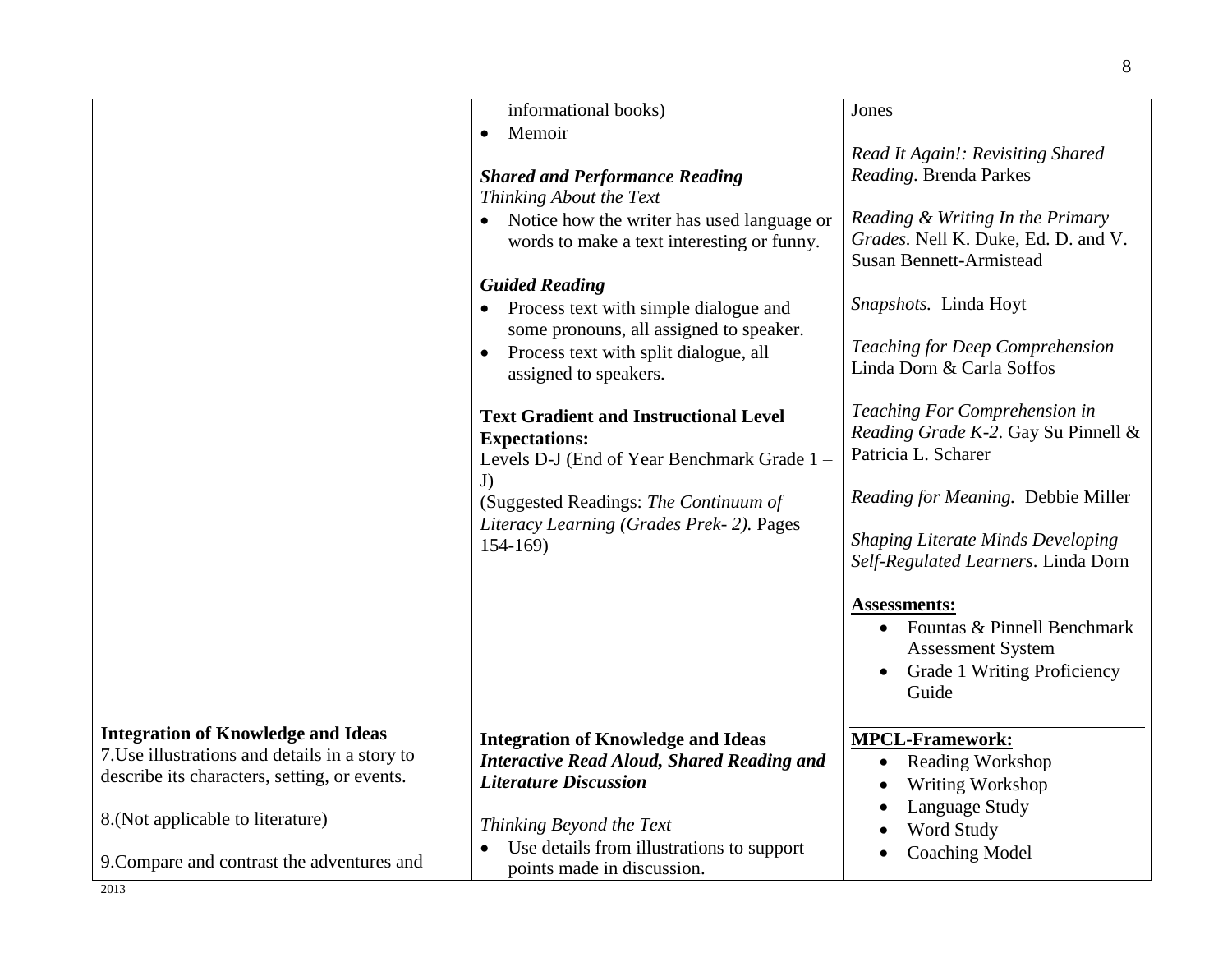|                                                | informational books)<br>Memoir<br>$\bullet$<br><b>Shared and Performance Reading</b><br>Thinking About the Text<br>Notice how the writer has used language or<br>words to make a text interesting or funny.<br><b>Guided Reading</b><br>Process text with simple dialogue and<br>some pronouns, all assigned to speaker.<br>Process text with split dialogue, all<br>assigned to speakers.<br><b>Text Gradient and Instructional Level</b><br><b>Expectations:</b><br>Levels D-J (End of Year Benchmark Grade 1 -<br>J)<br>(Suggested Readings: The Continuum of<br>Literacy Learning (Grades Prek-2). Pages<br>$154 - 169$ | Jones<br>Read It Again!: Revisiting Shared<br>Reading. Brenda Parkes<br>Reading & Writing In the Primary<br>Grades. Nell K. Duke, Ed. D. and V.<br><b>Susan Bennett-Armistead</b><br>Snapshots. Linda Hoyt<br>Teaching for Deep Comprehension<br>Linda Dorn & Carla Soffos<br>Teaching For Comprehension in<br>Reading Grade K-2. Gay Su Pinnell &<br>Patricia L. Scharer<br>Reading for Meaning. Debbie Miller<br><b>Shaping Literate Minds Developing</b><br>Self-Regulated Learners. Linda Dorn<br>Assessments: |
|------------------------------------------------|-----------------------------------------------------------------------------------------------------------------------------------------------------------------------------------------------------------------------------------------------------------------------------------------------------------------------------------------------------------------------------------------------------------------------------------------------------------------------------------------------------------------------------------------------------------------------------------------------------------------------------|--------------------------------------------------------------------------------------------------------------------------------------------------------------------------------------------------------------------------------------------------------------------------------------------------------------------------------------------------------------------------------------------------------------------------------------------------------------------------------------------------------------------|
|                                                |                                                                                                                                                                                                                                                                                                                                                                                                                                                                                                                                                                                                                             | Fountas & Pinnell Benchmark<br><b>Assessment System</b><br>Grade 1 Writing Proficiency<br>Guide                                                                                                                                                                                                                                                                                                                                                                                                                    |
| <b>Integration of Knowledge and Ideas</b>      | <b>Integration of Knowledge and Ideas</b>                                                                                                                                                                                                                                                                                                                                                                                                                                                                                                                                                                                   | <b>MPCL-Framework:</b>                                                                                                                                                                                                                                                                                                                                                                                                                                                                                             |
| 7. Use illustrations and details in a story to | <b>Interactive Read Aloud, Shared Reading and</b>                                                                                                                                                                                                                                                                                                                                                                                                                                                                                                                                                                           | <b>Reading Workshop</b><br>$\bullet$                                                                                                                                                                                                                                                                                                                                                                                                                                                                               |
| describe its characters, setting, or events.   | <b>Literature Discussion</b>                                                                                                                                                                                                                                                                                                                                                                                                                                                                                                                                                                                                | Writing Workshop                                                                                                                                                                                                                                                                                                                                                                                                                                                                                                   |
|                                                |                                                                                                                                                                                                                                                                                                                                                                                                                                                                                                                                                                                                                             | Language Study                                                                                                                                                                                                                                                                                                                                                                                                                                                                                                     |
| 8. (Not applicable to literature)              | Thinking Beyond the Text                                                                                                                                                                                                                                                                                                                                                                                                                                                                                                                                                                                                    | Word Study                                                                                                                                                                                                                                                                                                                                                                                                                                                                                                         |
|                                                | Use details from illustrations to support                                                                                                                                                                                                                                                                                                                                                                                                                                                                                                                                                                                   | <b>Coaching Model</b>                                                                                                                                                                                                                                                                                                                                                                                                                                                                                              |
| 9. Compare and contrast the adventures and     | points made in discussion.                                                                                                                                                                                                                                                                                                                                                                                                                                                                                                                                                                                                  |                                                                                                                                                                                                                                                                                                                                                                                                                                                                                                                    |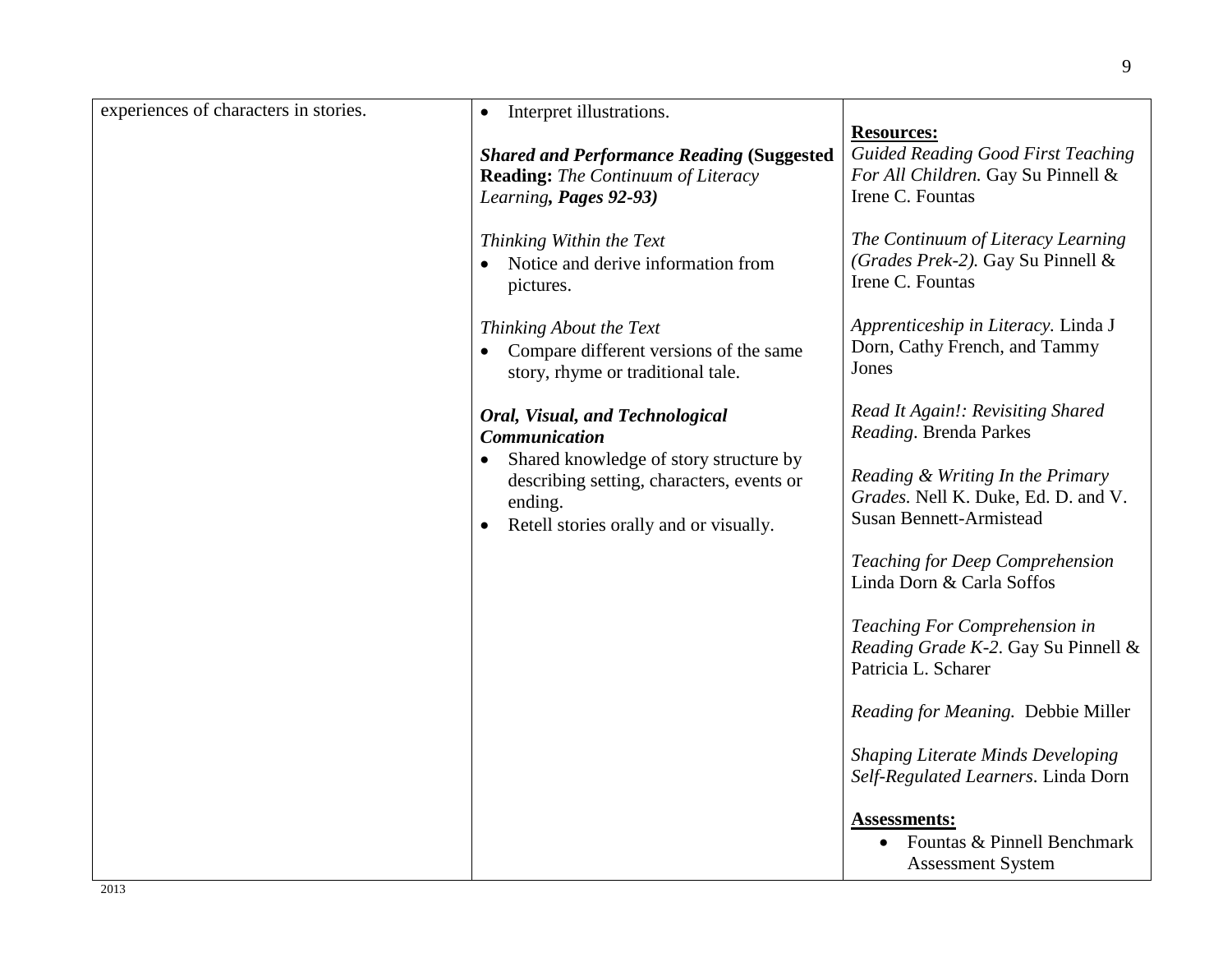9

| experiences of characters in stories. | Interpret illustrations.<br>$\bullet$                                                          |                                                                                 |
|---------------------------------------|------------------------------------------------------------------------------------------------|---------------------------------------------------------------------------------|
|                                       |                                                                                                | <b>Resources:</b>                                                               |
|                                       | <b>Shared and Performance Reading (Suggested)</b><br><b>Reading:</b> The Continuum of Literacy | <b>Guided Reading Good First Teaching</b><br>For All Children. Gay Su Pinnell & |
|                                       | Learning, Pages 92-93)                                                                         | Irene C. Fountas                                                                |
|                                       |                                                                                                |                                                                                 |
|                                       | Thinking Within the Text                                                                       | The Continuum of Literacy Learning                                              |
|                                       | Notice and derive information from                                                             | (Grades Prek-2). Gay Su Pinnell &                                               |
|                                       | pictures.                                                                                      | Irene C. Fountas                                                                |
|                                       |                                                                                                |                                                                                 |
|                                       | Thinking About the Text                                                                        | Apprenticeship in Literacy. Linda J                                             |
|                                       | Compare different versions of the same<br>$\bullet$                                            | Dorn, Cathy French, and Tammy                                                   |
|                                       | story, rhyme or traditional tale.                                                              | Jones                                                                           |
|                                       |                                                                                                | Read It Again!: Revisiting Shared                                               |
|                                       | Oral, Visual, and Technological<br><b>Communication</b>                                        | Reading. Brenda Parkes                                                          |
|                                       | Shared knowledge of story structure by                                                         |                                                                                 |
|                                       | describing setting, characters, events or                                                      | Reading & Writing In the Primary                                                |
|                                       | ending.                                                                                        | Grades. Nell K. Duke, Ed. D. and V.                                             |
|                                       | Retell stories orally and or visually.                                                         | <b>Susan Bennett-Armistead</b>                                                  |
|                                       |                                                                                                |                                                                                 |
|                                       |                                                                                                | Teaching for Deep Comprehension<br>Linda Dorn & Carla Soffos                    |
|                                       |                                                                                                |                                                                                 |
|                                       |                                                                                                | Teaching For Comprehension in                                                   |
|                                       |                                                                                                | Reading Grade K-2. Gay Su Pinnell &                                             |
|                                       |                                                                                                | Patricia L. Scharer                                                             |
|                                       |                                                                                                |                                                                                 |
|                                       |                                                                                                | Reading for Meaning. Debbie Miller                                              |
|                                       |                                                                                                | <b>Shaping Literate Minds Developing</b>                                        |
|                                       |                                                                                                | Self-Regulated Learners. Linda Dorn                                             |
|                                       |                                                                                                |                                                                                 |
|                                       |                                                                                                | <b>Assessments:</b>                                                             |
|                                       |                                                                                                | Fountas & Pinnell Benchmark                                                     |
|                                       |                                                                                                | <b>Assessment System</b>                                                        |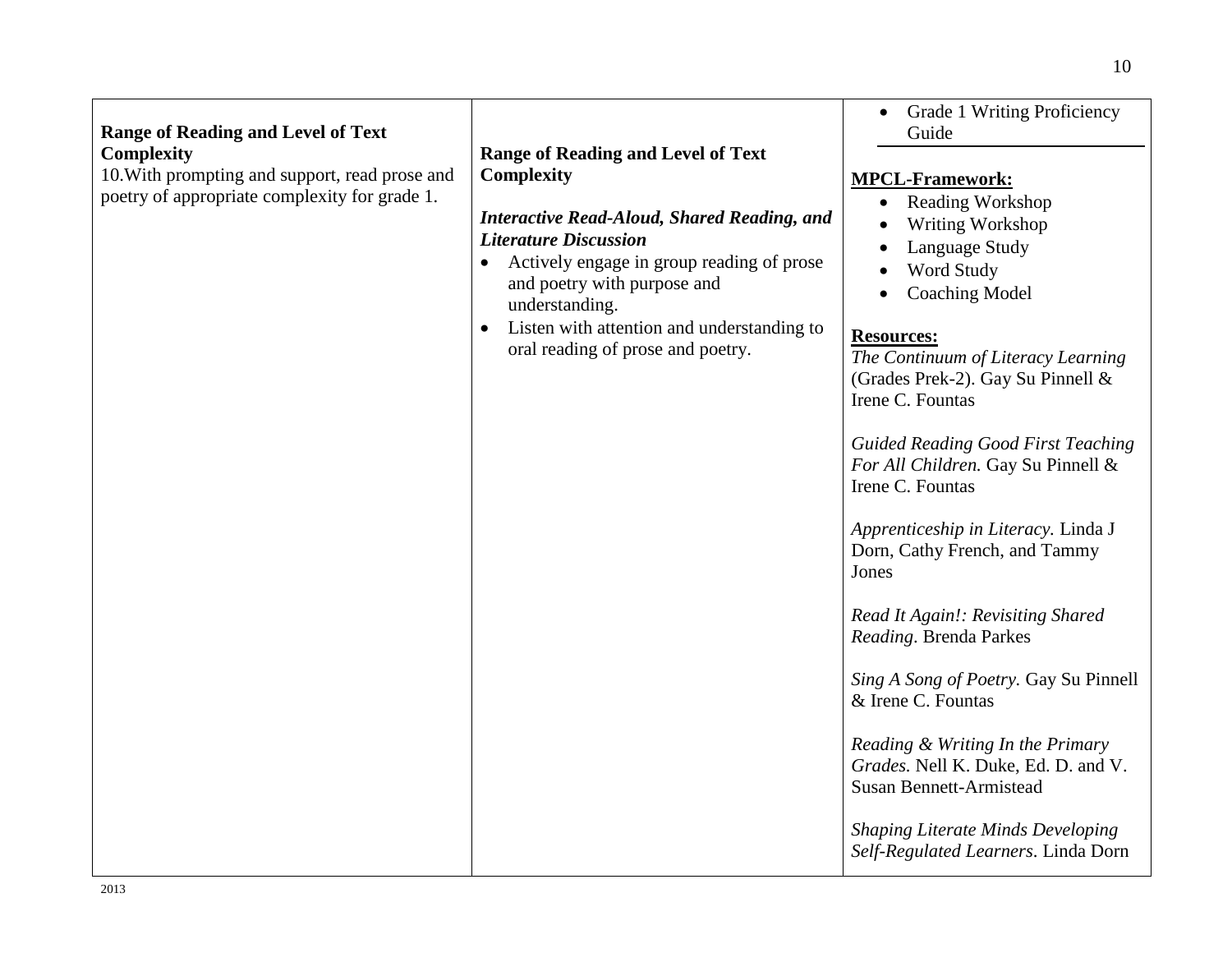| <b>Range of Reading and Level of Text</b>                                                                            |                                                                                                                                                                                                                                                                                                                                                    | <b>Grade 1 Writing Proficiency</b><br>Guide                                                                                                                                                                                                                                                                                                                                                                                                                                                                                                                                                                                                                                                                                                                         |
|----------------------------------------------------------------------------------------------------------------------|----------------------------------------------------------------------------------------------------------------------------------------------------------------------------------------------------------------------------------------------------------------------------------------------------------------------------------------------------|---------------------------------------------------------------------------------------------------------------------------------------------------------------------------------------------------------------------------------------------------------------------------------------------------------------------------------------------------------------------------------------------------------------------------------------------------------------------------------------------------------------------------------------------------------------------------------------------------------------------------------------------------------------------------------------------------------------------------------------------------------------------|
| <b>Complexity</b><br>10. With prompting and support, read prose and<br>poetry of appropriate complexity for grade 1. | <b>Range of Reading and Level of Text</b><br><b>Complexity</b><br><b>Interactive Read-Aloud, Shared Reading, and</b><br><b>Literature Discussion</b><br>Actively engage in group reading of prose<br>$\bullet$<br>and poetry with purpose and<br>understanding.<br>Listen with attention and understanding to<br>oral reading of prose and poetry. | <b>MPCL-Framework:</b><br>• Reading Workshop<br>Writing Workshop<br>Language Study<br>Word Study<br><b>Coaching Model</b><br><b>Resources:</b><br>The Continuum of Literacy Learning<br>(Grades Prek-2). Gay Su Pinnell &<br>Irene C. Fountas<br><b>Guided Reading Good First Teaching</b><br>For All Children. Gay Su Pinnell &<br>Irene C. Fountas<br>Apprenticeship in Literacy. Linda J<br>Dorn, Cathy French, and Tammy<br>Jones<br>Read It Again!: Revisiting Shared<br>Reading. Brenda Parkes<br>Sing A Song of Poetry. Gay Su Pinnell<br>& Irene C. Fountas<br>Reading & Writing In the Primary<br>Grades. Nell K. Duke, Ed. D. and V.<br><b>Susan Bennett-Armistead</b><br><b>Shaping Literate Minds Developing</b><br>Self-Regulated Learners. Linda Dorn |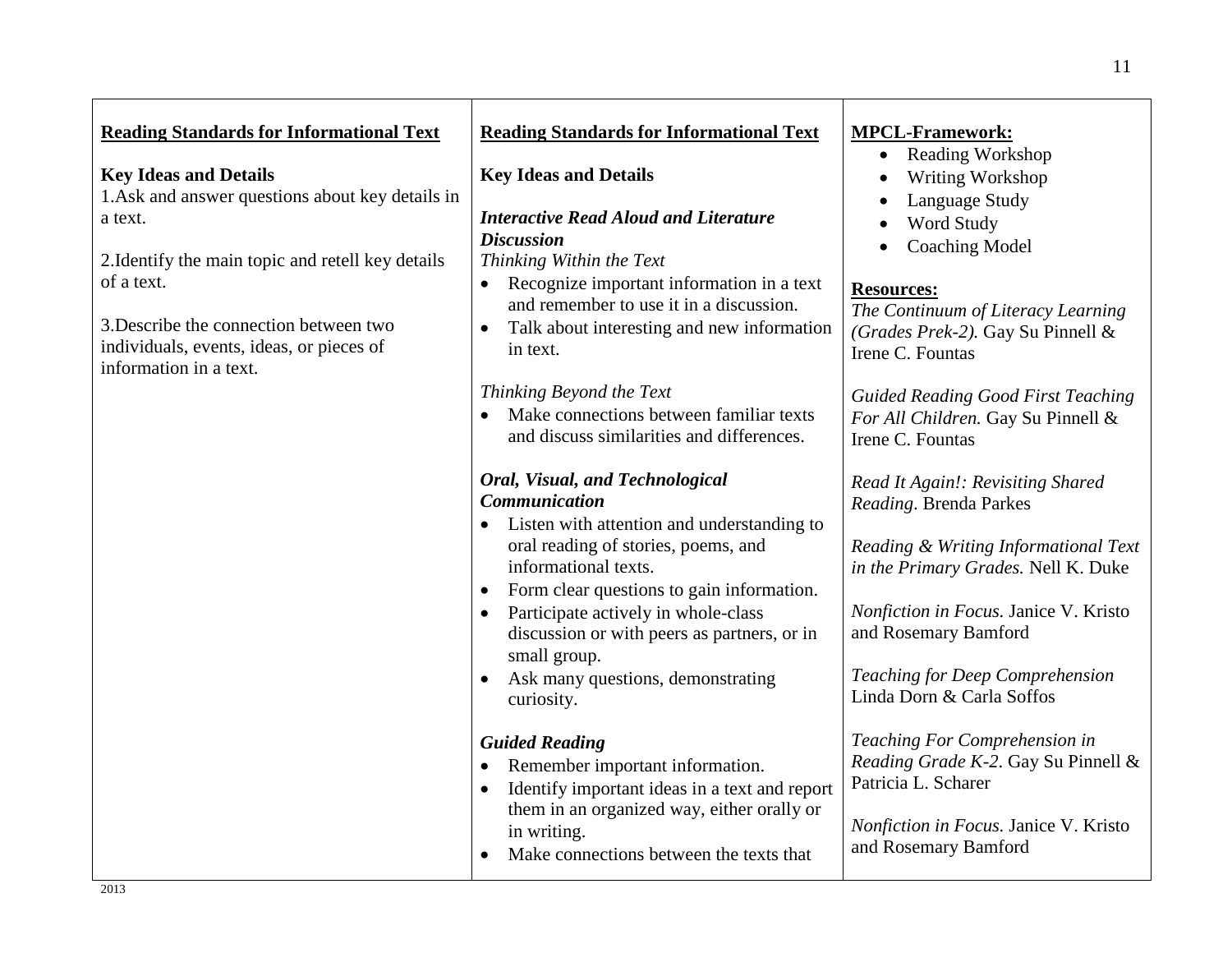| <b>Reading Standards for Informational Text</b><br><b>Key Ideas and Details</b><br>1. Ask and answer questions about key details in<br>a text.<br>2. Identify the main topic and retell key details<br>of a text. | <b>Reading Standards for Informational Text</b><br><b>Key Ideas and Details</b><br><b>Interactive Read Aloud and Literature</b><br><b>Discussion</b><br>Thinking Within the Text<br>Recognize important information in a text<br>$\bullet$<br>and remember to use it in a discussion. | <b>MPCL-Framework:</b><br><b>Reading Workshop</b><br>$\bullet$<br>Writing Workshop<br>Language Study<br>Word Study<br><b>Coaching Model</b><br><b>Resources:</b><br>The Continuum of Literacy Learning |
|-------------------------------------------------------------------------------------------------------------------------------------------------------------------------------------------------------------------|---------------------------------------------------------------------------------------------------------------------------------------------------------------------------------------------------------------------------------------------------------------------------------------|--------------------------------------------------------------------------------------------------------------------------------------------------------------------------------------------------------|
| 3. Describe the connection between two<br>individuals, events, ideas, or pieces of<br>information in a text.                                                                                                      | Talk about interesting and new information<br>in text.                                                                                                                                                                                                                                | (Grades Prek-2). Gay Su Pinnell &<br>Irene C. Fountas                                                                                                                                                  |
|                                                                                                                                                                                                                   | Thinking Beyond the Text<br>Make connections between familiar texts<br>$\bullet$<br>and discuss similarities and differences.                                                                                                                                                         | <b>Guided Reading Good First Teaching</b><br>For All Children. Gay Su Pinnell &<br>Irene C. Fountas                                                                                                    |
|                                                                                                                                                                                                                   | <b>Oral, Visual, and Technological</b><br><b>Communication</b><br>• Listen with attention and understanding to                                                                                                                                                                        | Read It Again!: Revisiting Shared<br>Reading. Brenda Parkes                                                                                                                                            |
|                                                                                                                                                                                                                   | oral reading of stories, poems, and<br>informational texts.<br>Form clear questions to gain information.                                                                                                                                                                              | Reading & Writing Informational Text<br>in the Primary Grades. Nell K. Duke                                                                                                                            |
|                                                                                                                                                                                                                   | Participate actively in whole-class<br>discussion or with peers as partners, or in<br>small group.                                                                                                                                                                                    | Nonfiction in Focus. Janice V. Kristo<br>and Rosemary Bamford                                                                                                                                          |
|                                                                                                                                                                                                                   | Ask many questions, demonstrating<br>curiosity.                                                                                                                                                                                                                                       | Teaching for Deep Comprehension<br>Linda Dorn & Carla Soffos                                                                                                                                           |
|                                                                                                                                                                                                                   | <b>Guided Reading</b><br>Remember important information.<br>$\bullet$<br>Identify important ideas in a text and report<br>$\bullet$                                                                                                                                                   | Teaching For Comprehension in<br>Reading Grade K-2. Gay Su Pinnell &<br>Patricia L. Scharer                                                                                                            |
|                                                                                                                                                                                                                   | them in an organized way, either orally or<br>in writing.<br>Make connections between the texts that                                                                                                                                                                                  | Nonfiction in Focus. Janice V. Kristo<br>and Rosemary Bamford                                                                                                                                          |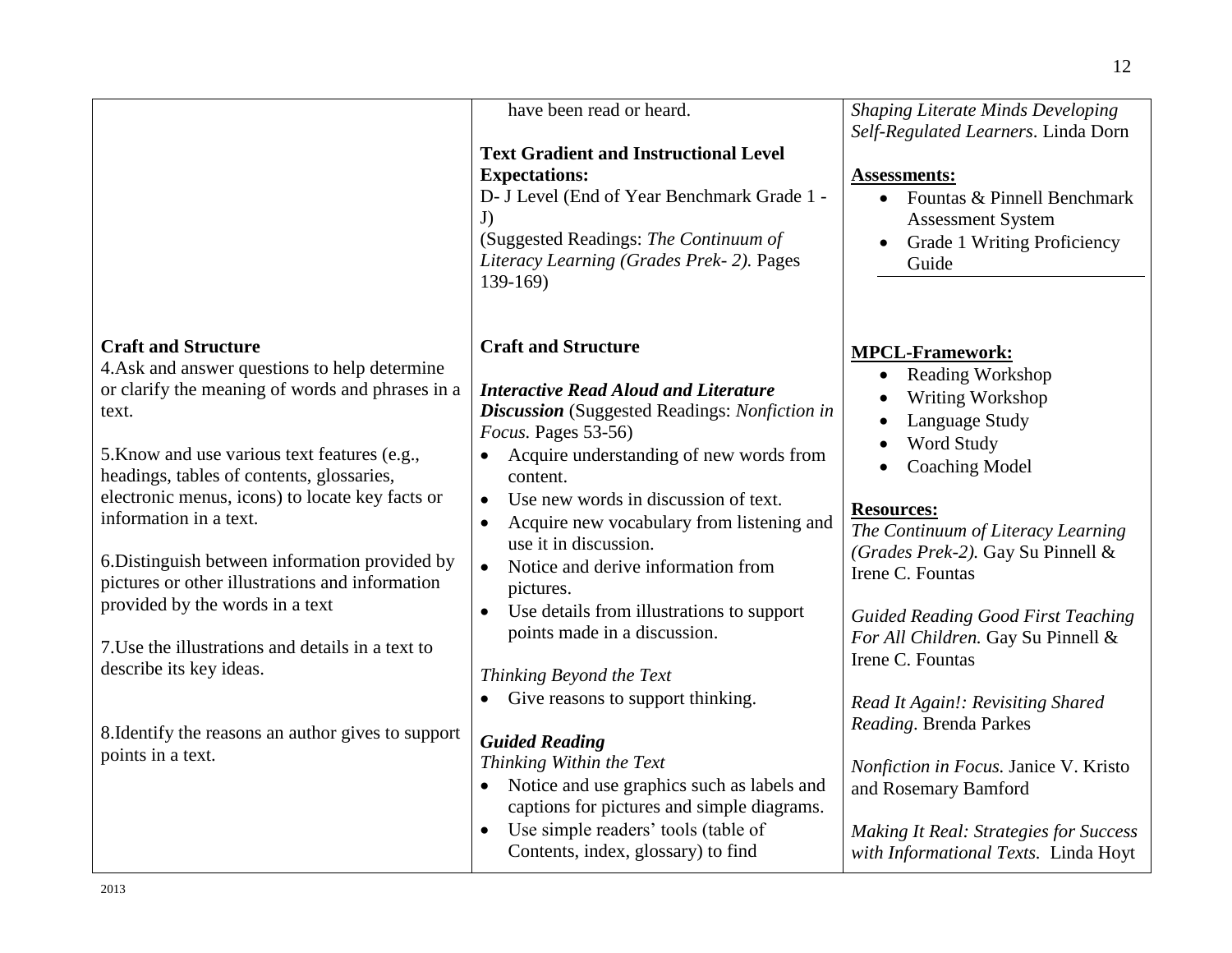|                                                                                                                                                                                                                                                                                                   | have been read or heard.                                                                                                                                                                                                                                                                                 | <b>Shaping Literate Minds Developing</b><br>Self-Regulated Learners. Linda Dorn                                                                                                                                         |
|---------------------------------------------------------------------------------------------------------------------------------------------------------------------------------------------------------------------------------------------------------------------------------------------------|----------------------------------------------------------------------------------------------------------------------------------------------------------------------------------------------------------------------------------------------------------------------------------------------------------|-------------------------------------------------------------------------------------------------------------------------------------------------------------------------------------------------------------------------|
|                                                                                                                                                                                                                                                                                                   | <b>Text Gradient and Instructional Level</b><br><b>Expectations:</b><br>D- J Level (End of Year Benchmark Grade 1 -<br>J)<br>(Suggested Readings: The Continuum of<br>Literacy Learning (Grades Prek-2). Pages                                                                                           | <b>Assessments:</b><br>Fountas & Pinnell Benchmark<br><b>Assessment System</b><br>Grade 1 Writing Proficiency<br>Guide                                                                                                  |
| <b>Craft and Structure</b><br>4. Ask and answer questions to help determine<br>or clarify the meaning of words and phrases in a<br>text.<br>5. Know and use various text features (e.g.,<br>headings, tables of contents, glossaries,                                                             | $139-169$<br><b>Craft and Structure</b><br><b>Interactive Read Aloud and Literature</b><br><b>Discussion</b> (Suggested Readings: Nonfiction in<br>Focus. Pages 53-56)<br>Acquire understanding of new words from<br>content.                                                                            | <b>MPCL-Framework:</b><br><b>Reading Workshop</b><br>٠<br>Writing Workshop<br>Language Study<br>Word Study<br><b>Coaching Model</b>                                                                                     |
| electronic menus, icons) to locate key facts or<br>information in a text.<br>6. Distinguish between information provided by<br>pictures or other illustrations and information<br>provided by the words in a text<br>7. Use the illustrations and details in a text to<br>describe its key ideas. | Use new words in discussion of text.<br>$\bullet$<br>Acquire new vocabulary from listening and<br>$\bullet$<br>use it in discussion.<br>Notice and derive information from<br>$\bullet$<br>pictures.<br>Use details from illustrations to support<br>points made in a discussion.                        | <b>Resources:</b><br>The Continuum of Literacy Learning<br>(Grades Prek-2). Gay Su Pinnell &<br>Irene C. Fountas<br><b>Guided Reading Good First Teaching</b><br>For All Children. Gay Su Pinnell &<br>Irene C. Fountas |
| 8. Identify the reasons an author gives to support<br>points in a text.                                                                                                                                                                                                                           | Thinking Beyond the Text<br>Give reasons to support thinking.<br><b>Guided Reading</b><br>Thinking Within the Text<br>Notice and use graphics such as labels and<br>$\bullet$<br>captions for pictures and simple diagrams.<br>Use simple readers' tools (table of<br>Contents, index, glossary) to find | Read It Again!: Revisiting Shared<br>Reading. Brenda Parkes<br>Nonfiction in Focus. Janice V. Kristo<br>and Rosemary Bamford<br><b>Making It Real: Strategies for Success</b><br>with Informational Texts. Linda Hoyt   |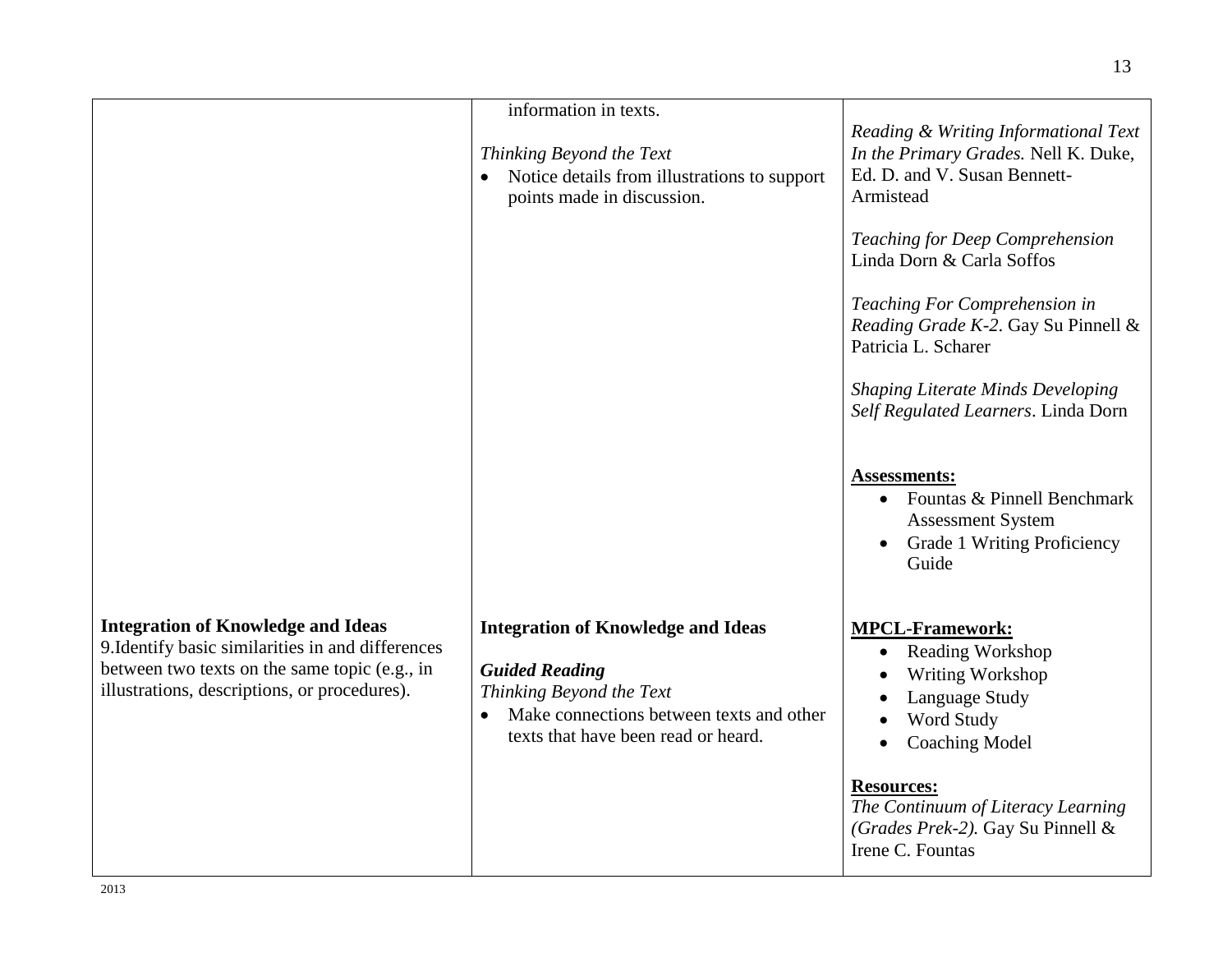|                                                                                                                                                                                                 | information in texts.<br>Thinking Beyond the Text<br>Notice details from illustrations to support<br>points made in discussion.                                                   | Reading & Writing Informational Text<br>In the Primary Grades. Nell K. Duke,<br>Ed. D. and V. Susan Bennett-<br>Armistead<br>Teaching for Deep Comprehension           |
|-------------------------------------------------------------------------------------------------------------------------------------------------------------------------------------------------|-----------------------------------------------------------------------------------------------------------------------------------------------------------------------------------|------------------------------------------------------------------------------------------------------------------------------------------------------------------------|
|                                                                                                                                                                                                 |                                                                                                                                                                                   | Linda Dorn & Carla Soffos<br>Teaching For Comprehension in<br>Reading Grade K-2. Gay Su Pinnell &<br>Patricia L. Scharer<br><b>Shaping Literate Minds Developing</b>   |
|                                                                                                                                                                                                 |                                                                                                                                                                                   | Self Regulated Learners. Linda Dorn<br><b>Assessments:</b><br>• Fountas & Pinnell Benchmark<br><b>Assessment System</b><br><b>Grade 1 Writing Proficiency</b><br>Guide |
| <b>Integration of Knowledge and Ideas</b><br>9. Identify basic similarities in and differences<br>between two texts on the same topic (e.g., in<br>illustrations, descriptions, or procedures). | <b>Integration of Knowledge and Ideas</b><br><b>Guided Reading</b><br>Thinking Beyond the Text<br>Make connections between texts and other<br>texts that have been read or heard. | <b>MPCL-Framework:</b><br>Reading Workshop<br>$\bullet$<br>Writing Workshop<br>Language Study<br>Word Study<br><b>Coaching Model</b>                                   |
|                                                                                                                                                                                                 |                                                                                                                                                                                   | <b>Resources:</b><br>The Continuum of Literacy Learning<br>(Grades Prek-2). Gay Su Pinnell &<br>Irene C. Fountas                                                       |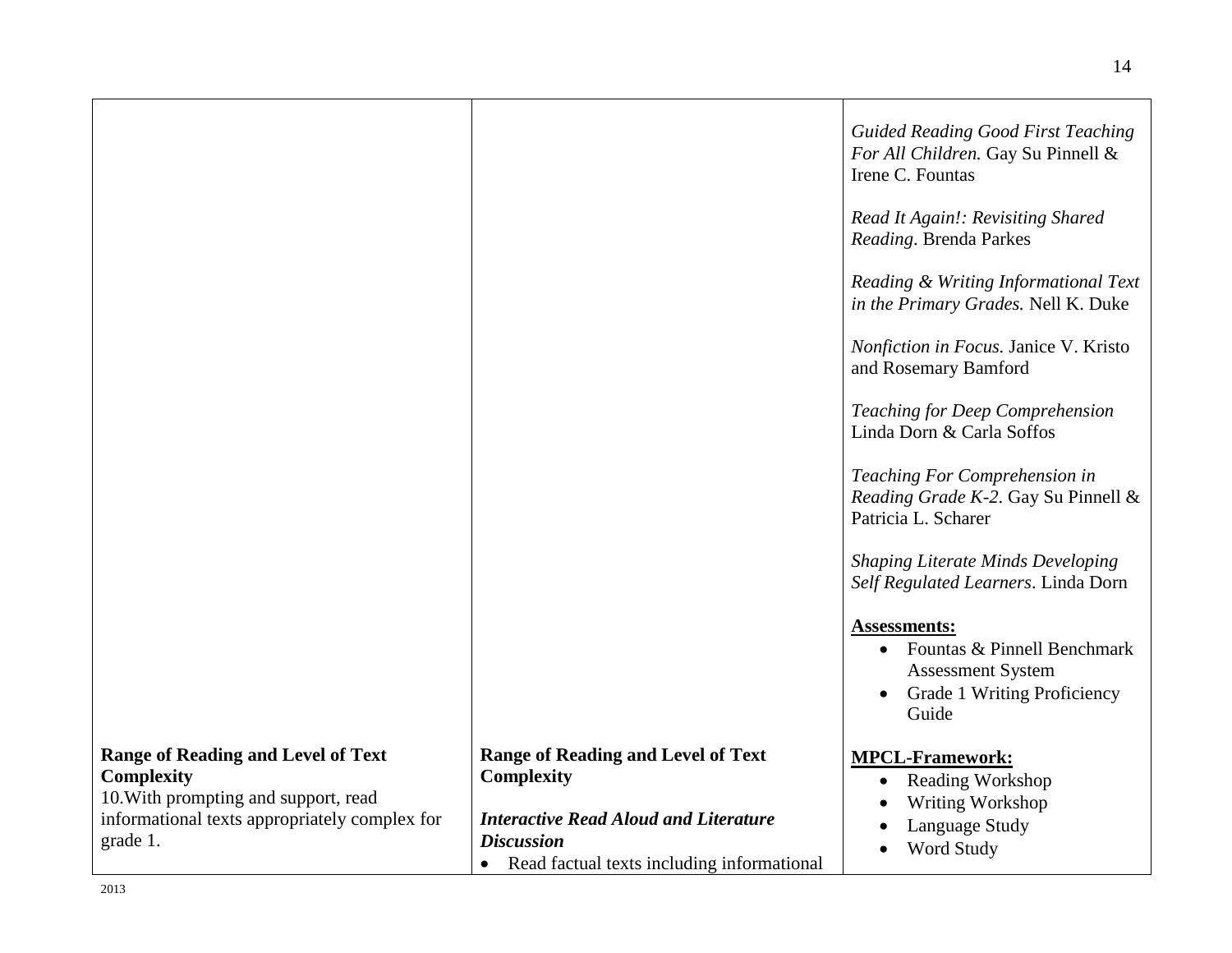|                                                                                                                                                                     |                                                                                                                                                                                                | <b>Guided Reading Good First Teaching</b><br>For All Children. Gay Su Pinnell &<br>Irene C. Fountas<br>Read It Again!: Revisiting Shared<br>Reading. Brenda Parkes |
|---------------------------------------------------------------------------------------------------------------------------------------------------------------------|------------------------------------------------------------------------------------------------------------------------------------------------------------------------------------------------|--------------------------------------------------------------------------------------------------------------------------------------------------------------------|
|                                                                                                                                                                     |                                                                                                                                                                                                | Reading & Writing Informational Text<br>in the Primary Grades. Nell K. Duke                                                                                        |
|                                                                                                                                                                     |                                                                                                                                                                                                | Nonfiction in Focus. Janice V. Kristo<br>and Rosemary Bamford                                                                                                      |
|                                                                                                                                                                     |                                                                                                                                                                                                | Teaching for Deep Comprehension<br>Linda Dorn & Carla Soffos                                                                                                       |
|                                                                                                                                                                     |                                                                                                                                                                                                | Teaching For Comprehension in<br>Reading Grade K-2. Gay Su Pinnell &<br>Patricia L. Scharer                                                                        |
|                                                                                                                                                                     |                                                                                                                                                                                                | <b>Shaping Literate Minds Developing</b><br>Self Regulated Learners. Linda Dorn                                                                                    |
|                                                                                                                                                                     |                                                                                                                                                                                                | <b>Assessments:</b><br>Fountas & Pinnell Benchmark<br>$\bullet$<br><b>Assessment System</b><br>Grade 1 Writing Proficiency<br>Guide                                |
| <b>Range of Reading and Level of Text</b><br><b>Complexity</b><br>10. With prompting and support, read<br>informational texts appropriately complex for<br>grade 1. | <b>Range of Reading and Level of Text</b><br><b>Complexity</b><br><b>Interactive Read Aloud and Literature</b><br><b>Discussion</b><br>Read factual texts including informational<br>$\bullet$ | <b>MPCL-Framework:</b><br><b>Reading Workshop</b><br>$\bullet$<br>Writing Workshop<br>Language Study<br>Word Study                                                 |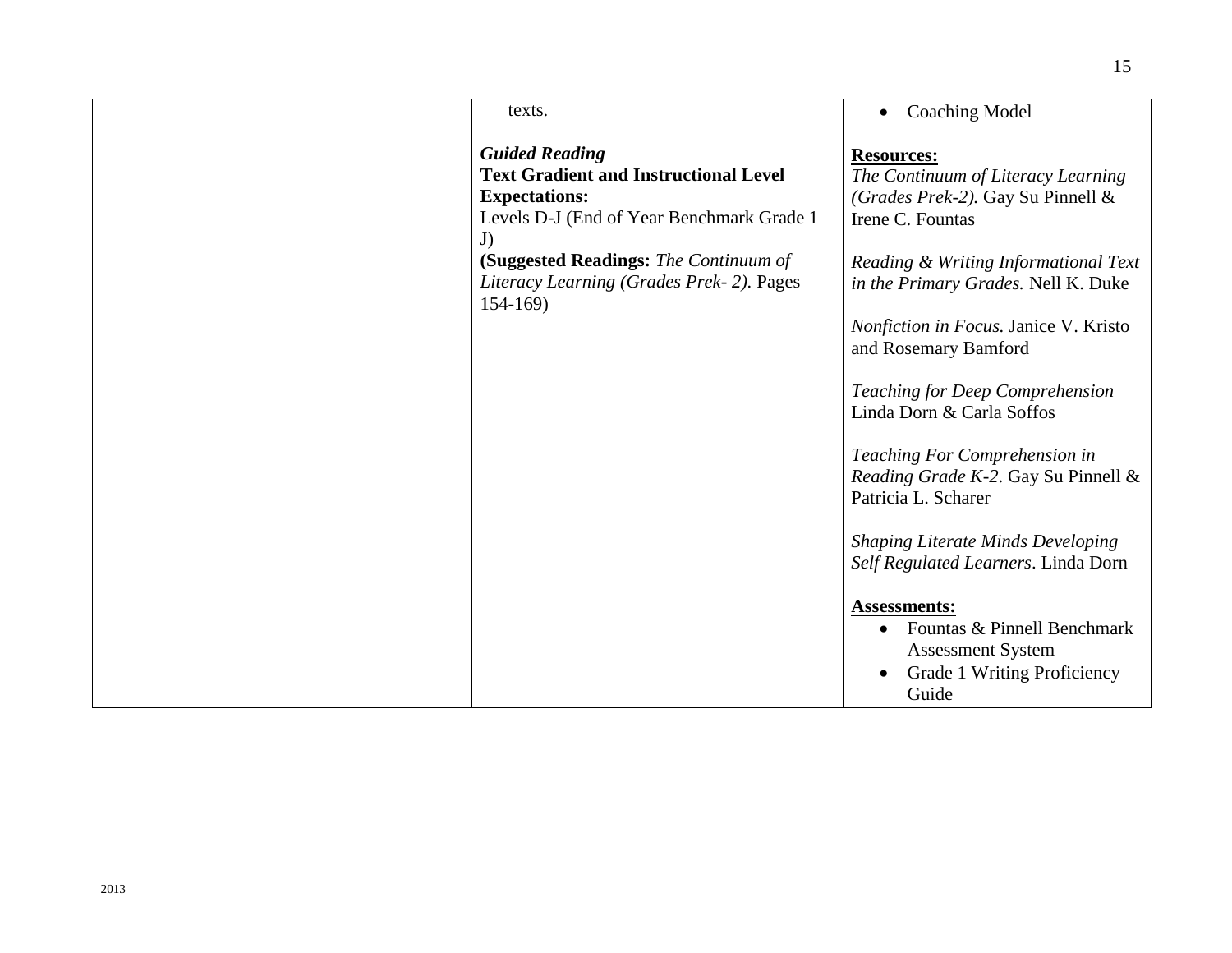| texts.                                                                                                                                                                                                                                               | <b>Coaching Model</b>                                                                                                                                                                                                                                                                                                                                                                                                                                                                                              |
|------------------------------------------------------------------------------------------------------------------------------------------------------------------------------------------------------------------------------------------------------|--------------------------------------------------------------------------------------------------------------------------------------------------------------------------------------------------------------------------------------------------------------------------------------------------------------------------------------------------------------------------------------------------------------------------------------------------------------------------------------------------------------------|
| <b>Guided Reading</b><br><b>Text Gradient and Instructional Level</b><br><b>Expectations:</b><br>Levels D-J (End of Year Benchmark Grade 1 -<br>J)<br>(Suggested Readings: The Continuum of<br>Literacy Learning (Grades Prek-2). Pages<br>$154-169$ | <b>Resources:</b><br>The Continuum of Literacy Learning<br>(Grades Prek-2). Gay Su Pinnell &<br>Irene C. Fountas<br>Reading & Writing Informational Text<br>in the Primary Grades. Nell K. Duke<br>Nonfiction in Focus. Janice V. Kristo<br>and Rosemary Bamford<br>Teaching for Deep Comprehension<br>Linda Dorn & Carla Soffos<br>Teaching For Comprehension in<br>Reading Grade K-2. Gay Su Pinnell &<br>Patricia L. Scharer<br><b>Shaping Literate Minds Developing</b><br>Self Regulated Learners. Linda Dorn |
|                                                                                                                                                                                                                                                      | <b>Assessments:</b><br>Fountas & Pinnell Benchmark<br><b>Assessment System</b><br>Grade 1 Writing Proficiency<br>Guide                                                                                                                                                                                                                                                                                                                                                                                             |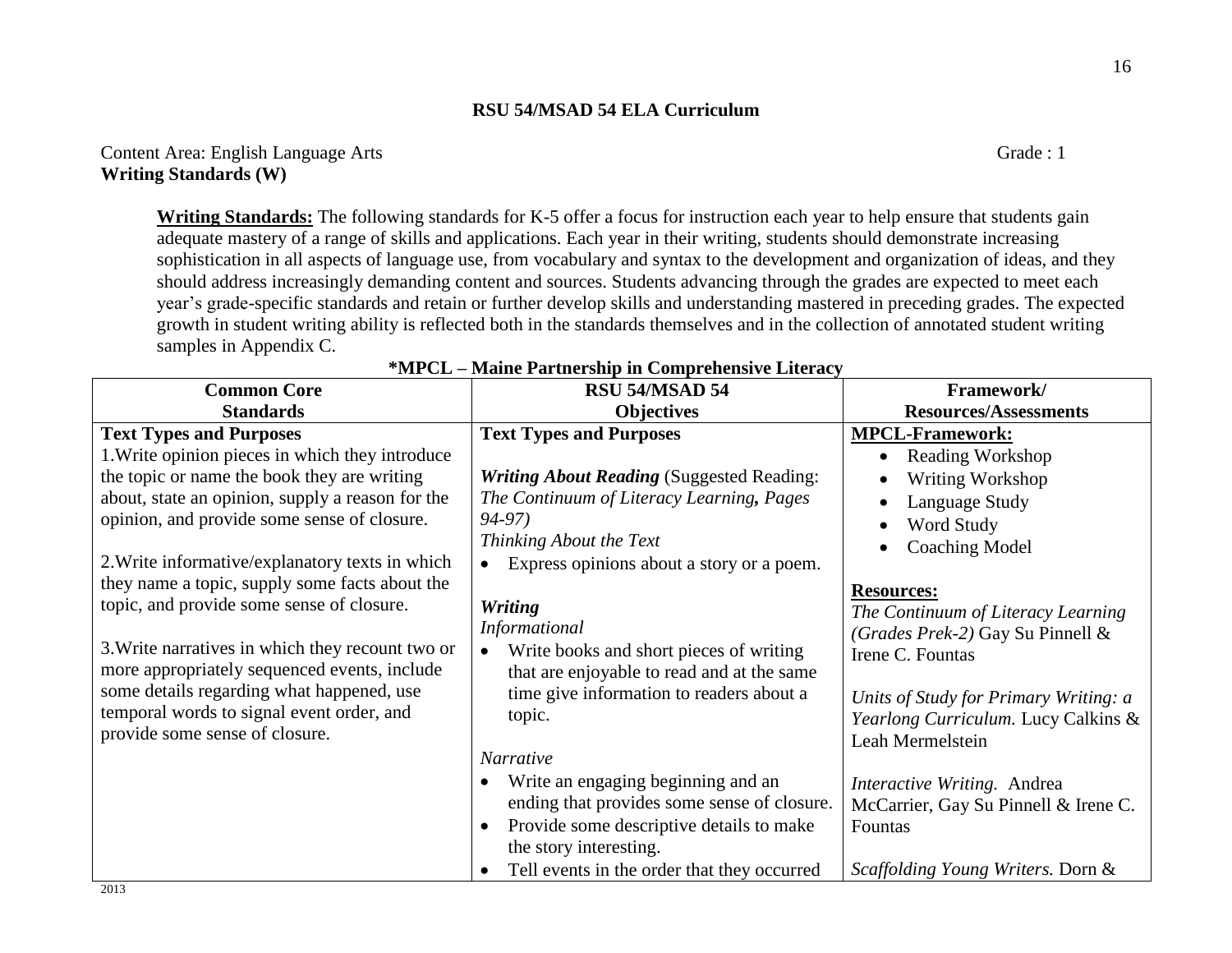**Writing Standards:** The following standards for K-5 offer a focus for instruction each year to help ensure that students gain adequate mastery of a range of skills and applications. Each year in their writing, students should demonstrate increasing sophistication in all aspects of language use, from vocabulary and syntax to the development and organization of ideas, and they should address increasingly demanding content and sources. Students advancing through the grades are expected to meet each year's grade-specific standards and retain or further develop skills and understanding mastered in preceding grades. The expected growth in student writing ability is reflected both in the standards themselves and in the collection of annotated student writing samples in Appendix C.

| <b>Common Core</b>                                                                                                                                                                                                                                                                                                          | RSU 54/MSAD 54                                                                                                                                                                                                                                                                                | Framework/                                                                                                                                                                                                                                         |
|-----------------------------------------------------------------------------------------------------------------------------------------------------------------------------------------------------------------------------------------------------------------------------------------------------------------------------|-----------------------------------------------------------------------------------------------------------------------------------------------------------------------------------------------------------------------------------------------------------------------------------------------|----------------------------------------------------------------------------------------------------------------------------------------------------------------------------------------------------------------------------------------------------|
| <b>Standards</b>                                                                                                                                                                                                                                                                                                            | <b>Objectives</b>                                                                                                                                                                                                                                                                             | <b>Resources/Assessments</b>                                                                                                                                                                                                                       |
| <b>Text Types and Purposes</b><br>1. Write opinion pieces in which they introduce<br>the topic or name the book they are writing<br>about, state an opinion, supply a reason for the<br>opinion, and provide some sense of closure.<br>2. Write informative/explanatory texts in which                                      | <b>Text Types and Purposes</b><br><b>Writing About Reading (Suggested Reading:</b><br>The Continuum of Literacy Learning, Pages<br>94-97)<br>Thinking About the Text<br>Express opinions about a story or a poem.                                                                             | <b>MPCL-Framework:</b><br><b>Reading Workshop</b><br>Writing Workshop<br>Language Study<br>Word Study<br><b>Coaching Model</b>                                                                                                                     |
| they name a topic, supply some facts about the<br>topic, and provide some sense of closure.<br>3. Write narratives in which they recount two or<br>more appropriately sequenced events, include<br>some details regarding what happened, use<br>temporal words to signal event order, and<br>provide some sense of closure. | <b>Writing</b><br>Informational<br>Write books and short pieces of writing<br>$\bullet$<br>that are enjoyable to read and at the same<br>time give information to readers about a<br>topic.<br>Narrative<br>Write an engaging beginning and an<br>ending that provides some sense of closure. | <b>Resources:</b><br>The Continuum of Literacy Learning<br>(Grades Prek-2) Gay Su Pinnell &<br>Irene C. Fountas<br>Units of Study for Primary Writing: a<br>Yearlong Curriculum. Lucy Calkins &<br>Leah Mermelstein<br>Interactive Writing. Andrea |
| 0.012                                                                                                                                                                                                                                                                                                                       | Provide some descriptive details to make<br>$\bullet$<br>the story interesting.<br>Tell events in the order that they occurred                                                                                                                                                                | McCarrier, Gay Su Pinnell & Irene C.<br>Fountas<br>Scaffolding Young Writers. Dorn &                                                                                                                                                               |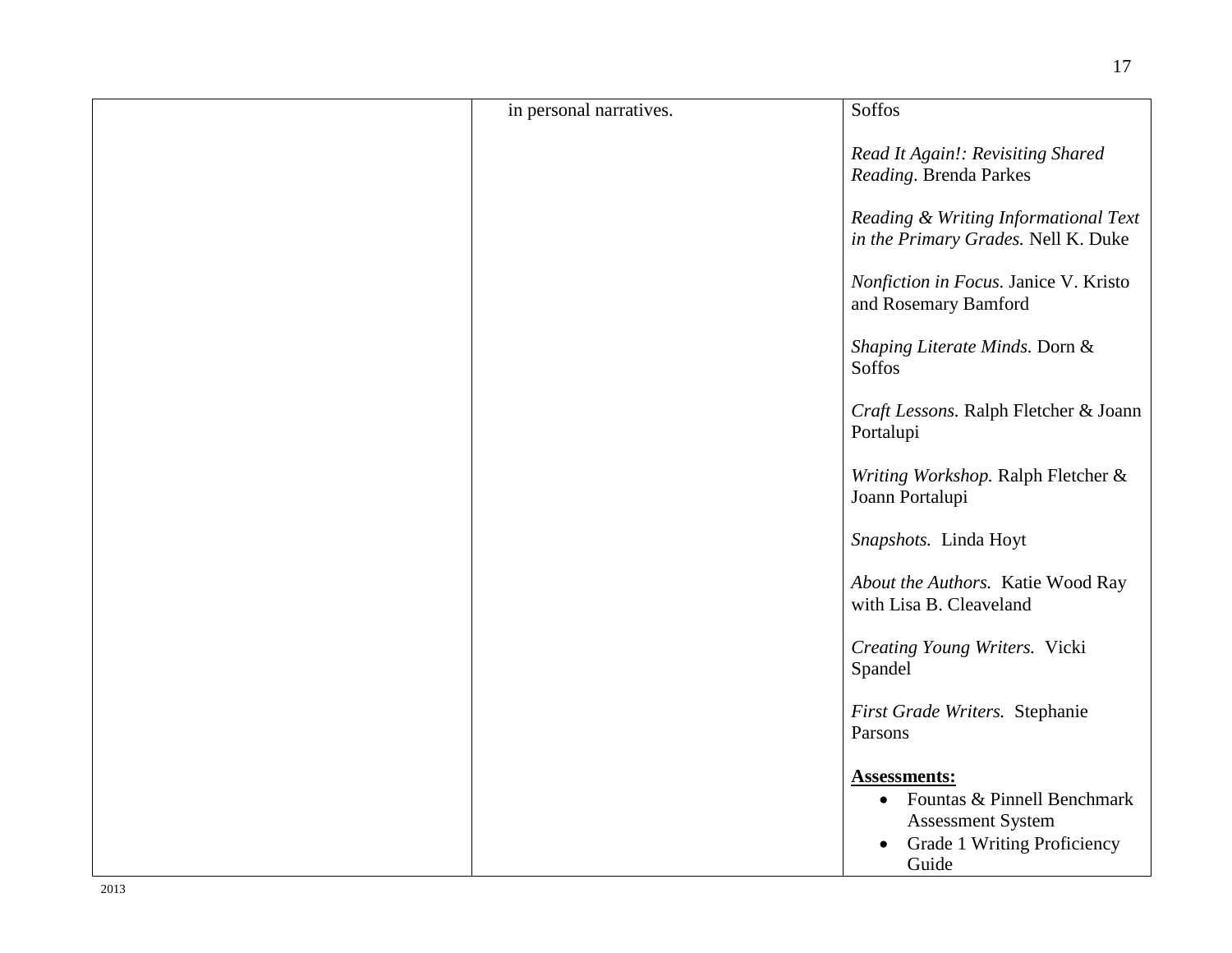| in personal narratives. | Soffos                                                                                                                              |
|-------------------------|-------------------------------------------------------------------------------------------------------------------------------------|
|                         | Read It Again!: Revisiting Shared<br>Reading. Brenda Parkes                                                                         |
|                         | Reading & Writing Informational Text<br>in the Primary Grades. Nell K. Duke                                                         |
|                         | Nonfiction in Focus. Janice V. Kristo<br>and Rosemary Bamford                                                                       |
|                         | Shaping Literate Minds. Dorn &<br><b>Soffos</b>                                                                                     |
|                         | Craft Lessons. Ralph Fletcher & Joann<br>Portalupi                                                                                  |
|                         | Writing Workshop. Ralph Fletcher &<br>Joann Portalupi                                                                               |
|                         | Snapshots. Linda Hoyt                                                                                                               |
|                         | About the Authors. Katie Wood Ray<br>with Lisa B. Cleaveland                                                                        |
|                         | Creating Young Writers. Vicki<br>Spandel                                                                                            |
|                         | First Grade Writers. Stephanie<br>Parsons                                                                                           |
|                         | <b>Assessments:</b><br>Fountas & Pinnell Benchmark<br>$\bullet$<br><b>Assessment System</b><br>Grade 1 Writing Proficiency<br>Guide |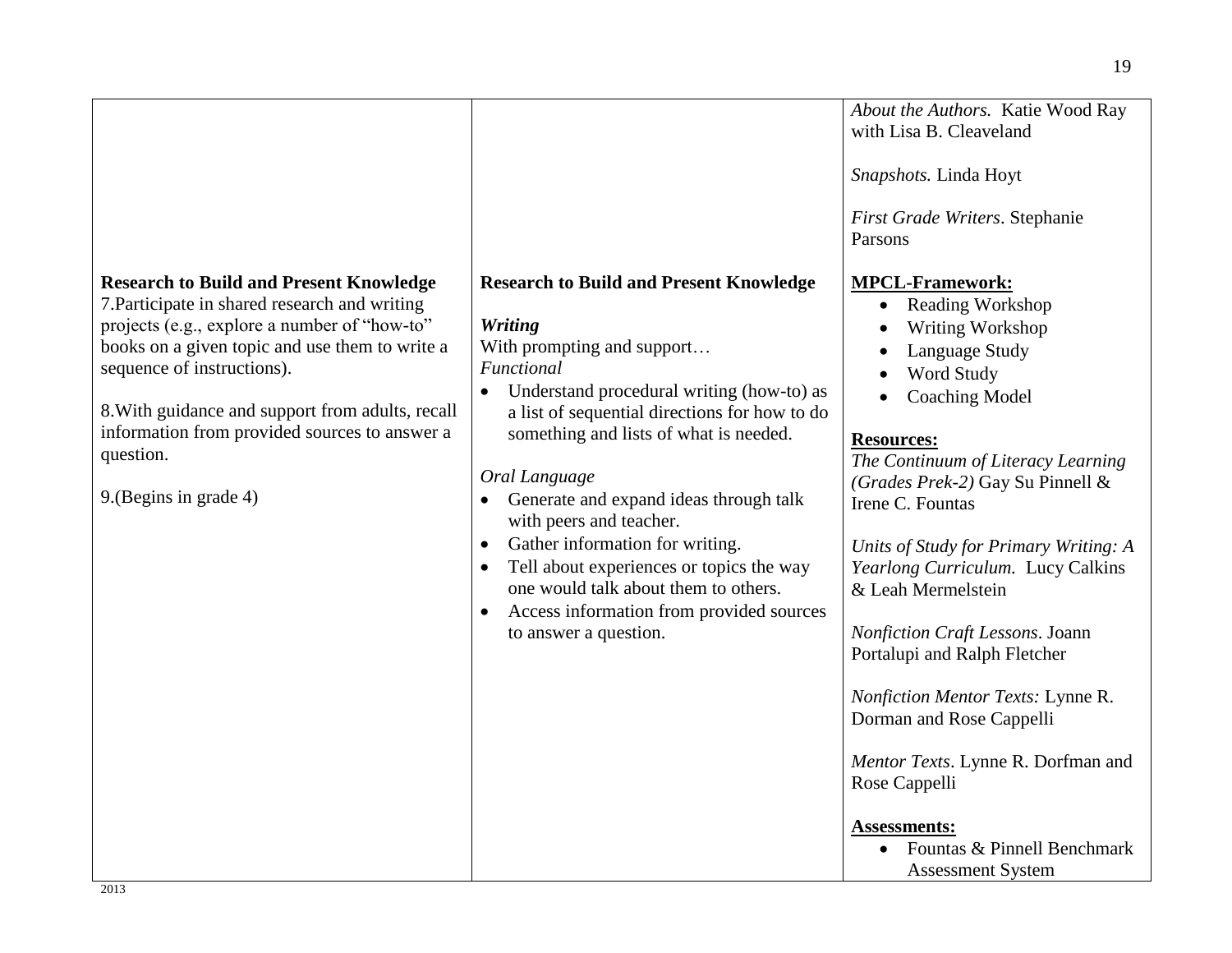|                                                  |                                                        | About the Authors. Katie Wood Ray     |
|--------------------------------------------------|--------------------------------------------------------|---------------------------------------|
|                                                  |                                                        | with Lisa B. Cleaveland               |
|                                                  |                                                        |                                       |
|                                                  |                                                        | Snapshots. Linda Hoyt                 |
|                                                  |                                                        |                                       |
|                                                  |                                                        |                                       |
|                                                  |                                                        | First Grade Writers. Stephanie        |
|                                                  |                                                        | Parsons                               |
|                                                  |                                                        |                                       |
| <b>Research to Build and Present Knowledge</b>   | <b>Research to Build and Present Knowledge</b>         | <b>MPCL-Framework:</b>                |
| 7. Participate in shared research and writing    |                                                        | <b>Reading Workshop</b>               |
| projects (e.g., explore a number of "how-to"     | <b>Writing</b>                                         | Writing Workshop                      |
| books on a given topic and use them to write a   | With prompting and support                             | Language Study                        |
| sequence of instructions).                       | Functional                                             | Word Study                            |
|                                                  | Understand procedural writing (how-to) as<br>$\bullet$ |                                       |
| 8. With guidance and support from adults, recall | a list of sequential directions for how to do          | <b>Coaching Model</b>                 |
|                                                  |                                                        |                                       |
| information from provided sources to answer a    | something and lists of what is needed.                 | <b>Resources:</b>                     |
| question.                                        |                                                        | The Continuum of Literacy Learning    |
|                                                  | Oral Language                                          | (Grades Prek-2) Gay Su Pinnell &      |
| 9. (Begins in grade 4)                           | Generate and expand ideas through talk<br>$\bullet$    | Irene C. Fountas                      |
|                                                  | with peers and teacher.                                |                                       |
|                                                  |                                                        |                                       |
|                                                  | Gather information for writing.<br>$\bullet$           | Units of Study for Primary Writing: A |
|                                                  | Tell about experiences or topics the way<br>$\bullet$  | Yearlong Curriculum. Lucy Calkins     |
|                                                  | one would talk about them to others.                   | & Leah Mermelstein                    |
|                                                  | Access information from provided sources<br>$\bullet$  |                                       |
|                                                  | to answer a question.                                  | Nonfiction Craft Lessons. Joann       |
|                                                  |                                                        | Portalupi and Ralph Fletcher          |
|                                                  |                                                        |                                       |
|                                                  |                                                        |                                       |
|                                                  |                                                        | Nonfiction Mentor Texts: Lynne R.     |
|                                                  |                                                        | Dorman and Rose Cappelli              |
|                                                  |                                                        |                                       |
|                                                  |                                                        | Mentor Texts. Lynne R. Dorfman and    |
|                                                  |                                                        | Rose Cappelli                         |
|                                                  |                                                        |                                       |
|                                                  |                                                        | <b>Assessments:</b>                   |
|                                                  |                                                        | Fountas & Pinnell Benchmark           |
|                                                  |                                                        | <b>Assessment System</b>              |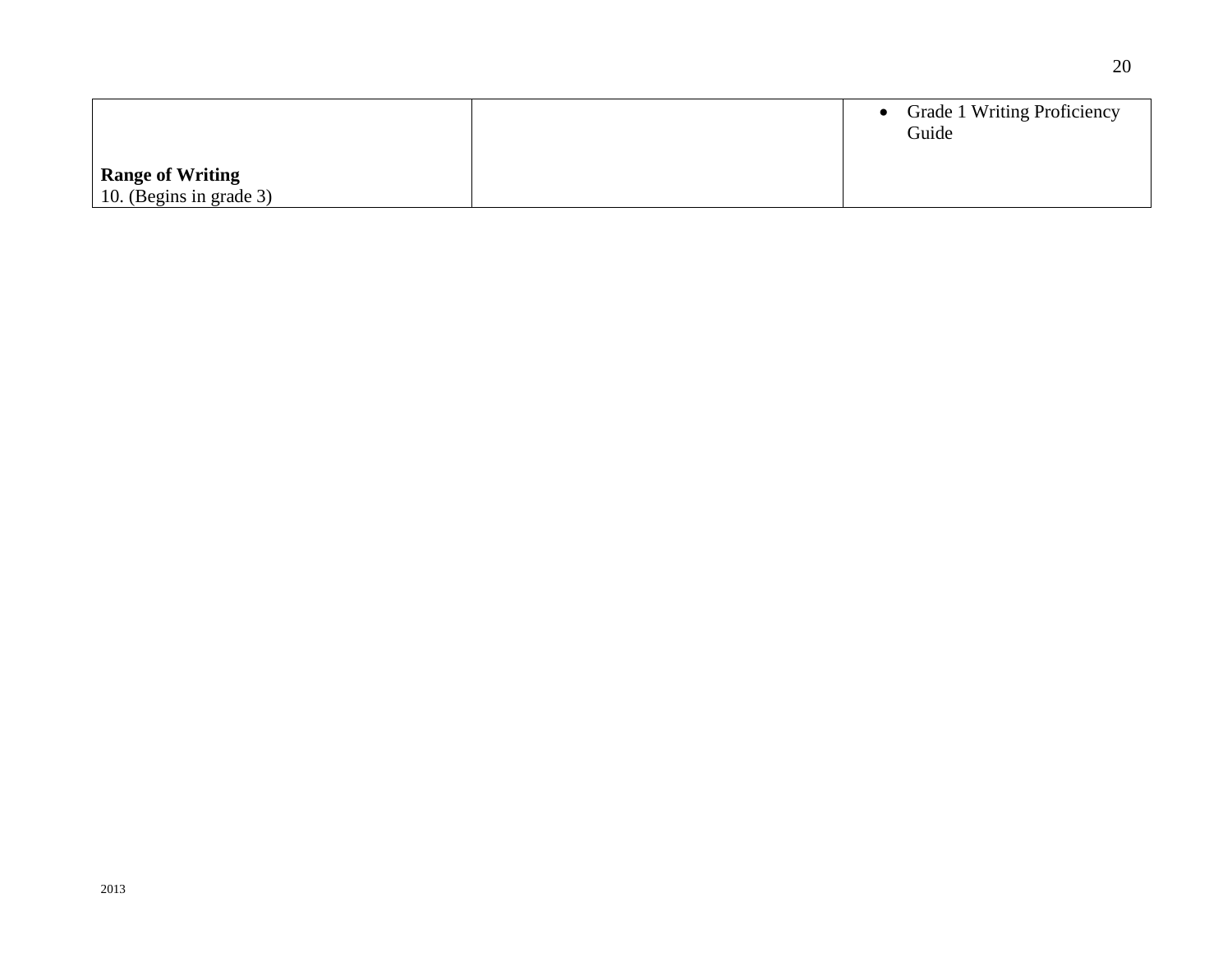|                         |  | • Grade 1 Writing Proficiency<br>Guide |
|-------------------------|--|----------------------------------------|
| <b>Range of Writing</b> |  |                                        |
| 10. (Begins in grade 3) |  |                                        |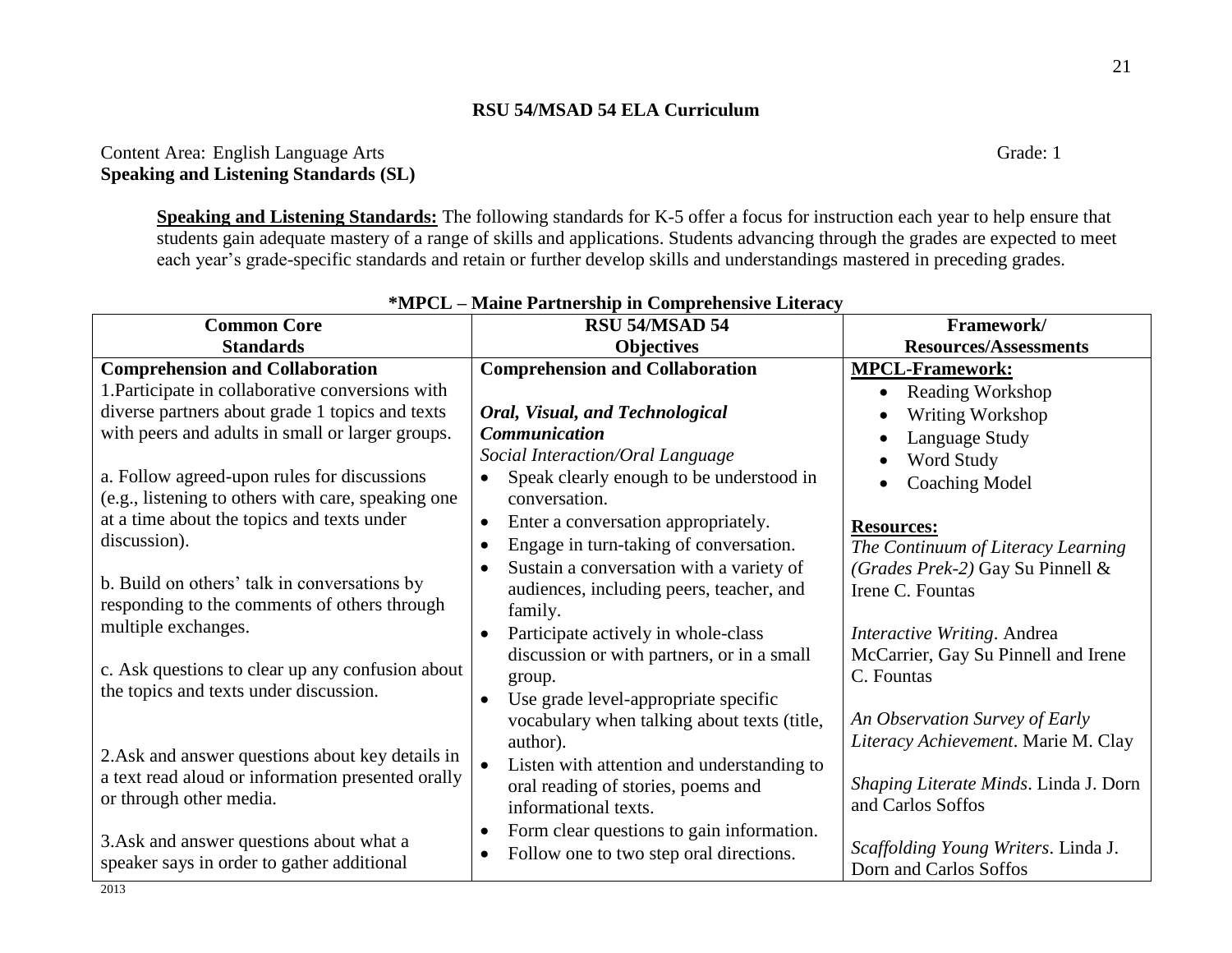# Content Area: English Language Arts Grade: 1 **Speaking and Listening Standards (SL)**

**Speaking and Listening Standards:** The following standards for K-5 offer a focus for instruction each year to help ensure that students gain adequate mastery of a range of skills and applications. Students advancing through the grades are expected to meet each year's grade-specific standards and retain or further develop skills and understandings mastered in preceding grades.

| <b>Common Core</b>                                                                         | RSU 54/MSAD 54                                         | Framework/                            |
|--------------------------------------------------------------------------------------------|--------------------------------------------------------|---------------------------------------|
| <b>Standards</b>                                                                           | <b>Objectives</b>                                      | <b>Resources/Assessments</b>          |
| <b>Comprehension and Collaboration</b>                                                     | <b>Comprehension and Collaboration</b>                 | <b>MPCL-Framework:</b>                |
| 1. Participate in collaborative conversions with                                           |                                                        | Reading Workshop                      |
| diverse partners about grade 1 topics and texts                                            | Oral, Visual, and Technological                        | Writing Workshop                      |
| with peers and adults in small or larger groups.                                           | <b>Communication</b>                                   | Language Study                        |
|                                                                                            | Social Interaction/Oral Language                       | Word Study                            |
| a. Follow agreed-upon rules for discussions                                                | Speak clearly enough to be understood in<br>$\bullet$  | <b>Coaching Model</b>                 |
| (e.g., listening to others with care, speaking one                                         | conversation.                                          |                                       |
| at a time about the topics and texts under                                                 | Enter a conversation appropriately.<br>$\bullet$       | <b>Resources:</b>                     |
| discussion).                                                                               | Engage in turn-taking of conversation.<br>$\bullet$    | The Continuum of Literacy Learning    |
|                                                                                            | Sustain a conversation with a variety of<br>$\bullet$  | (Grades Prek-2) Gay Su Pinnell &      |
| b. Build on others' talk in conversations by                                               | audiences, including peers, teacher, and               | Irene C. Fountas                      |
| responding to the comments of others through                                               | family.                                                |                                       |
| multiple exchanges.                                                                        | Participate actively in whole-class<br>$\bullet$       | Interactive Writing. Andrea           |
|                                                                                            | discussion or with partners, or in a small             | McCarrier, Gay Su Pinnell and Irene   |
| c. Ask questions to clear up any confusion about<br>the topics and texts under discussion. | group.                                                 | C. Fountas                            |
|                                                                                            | Use grade level-appropriate specific                   |                                       |
|                                                                                            | vocabulary when talking about texts (title,            | An Observation Survey of Early        |
| 2. Ask and answer questions about key details in                                           | author).                                               | Literacy Achievement. Marie M. Clay   |
| a text read aloud or information presented orally<br>or through other media.               | Listen with attention and understanding to             |                                       |
|                                                                                            | oral reading of stories, poems and                     | Shaping Literate Minds. Linda J. Dorn |
|                                                                                            | informational texts.                                   | and Carlos Soffos                     |
| 3. Ask and answer questions about what a                                                   | Form clear questions to gain information.<br>$\bullet$ |                                       |
| speaker says in order to gather additional                                                 | Follow one to two step oral directions.<br>$\bullet$   | Scaffolding Young Writers. Linda J.   |
|                                                                                            |                                                        | Dorn and Carlos Soffos                |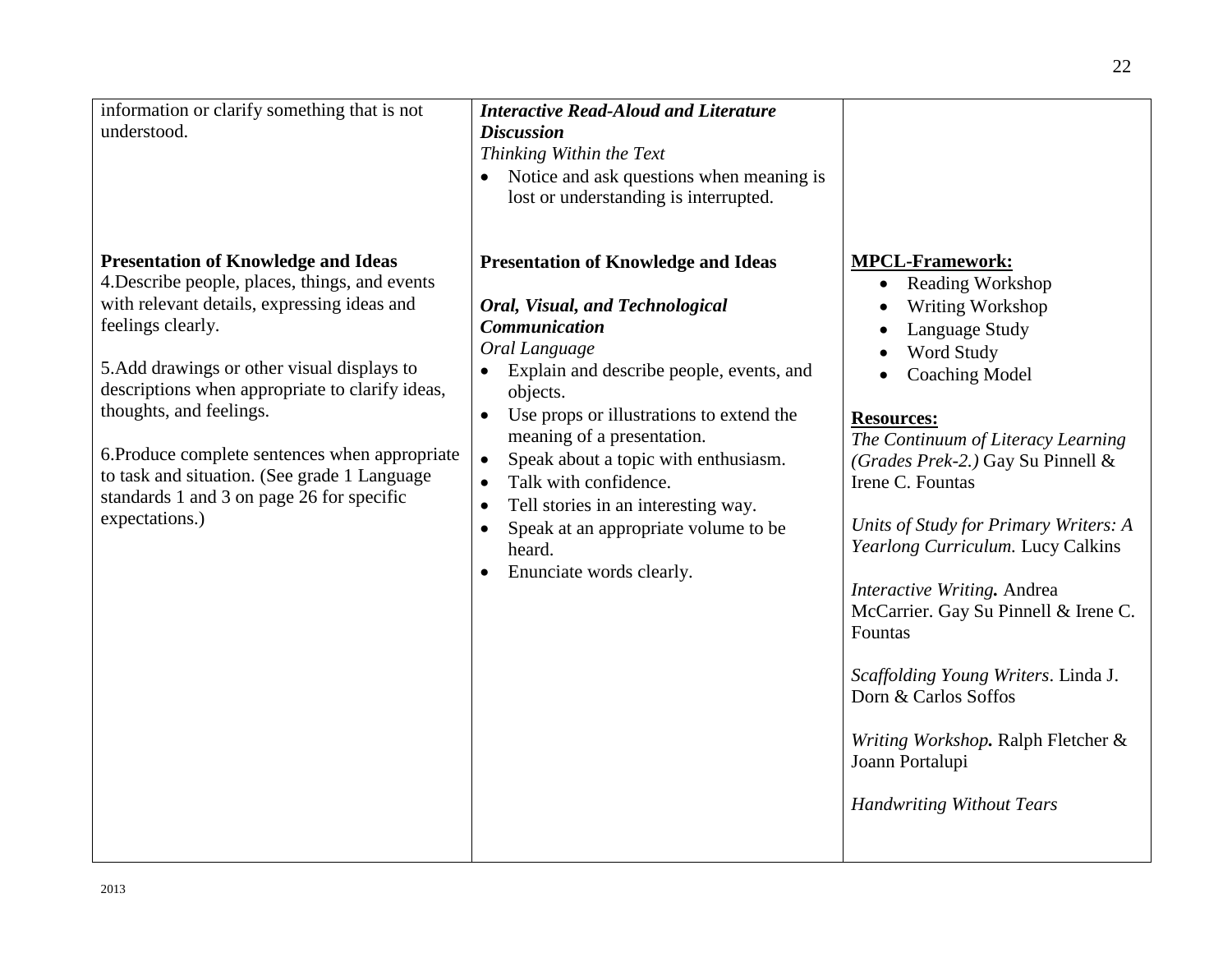| information or clarify something that is not<br>understood.                                                                                                                                                                                                                                                                                                                                                                                                    | <b>Interactive Read-Aloud and Literature</b><br><b>Discussion</b><br>Thinking Within the Text<br>• Notice and ask questions when meaning is<br>lost or understanding is interrupted.                                                                                                                                                                                                                                                                                                  |                                                                                                                                                                                                                                                                                                                                                                                                                                                                                                                                                                                      |
|----------------------------------------------------------------------------------------------------------------------------------------------------------------------------------------------------------------------------------------------------------------------------------------------------------------------------------------------------------------------------------------------------------------------------------------------------------------|---------------------------------------------------------------------------------------------------------------------------------------------------------------------------------------------------------------------------------------------------------------------------------------------------------------------------------------------------------------------------------------------------------------------------------------------------------------------------------------|--------------------------------------------------------------------------------------------------------------------------------------------------------------------------------------------------------------------------------------------------------------------------------------------------------------------------------------------------------------------------------------------------------------------------------------------------------------------------------------------------------------------------------------------------------------------------------------|
| <b>Presentation of Knowledge and Ideas</b><br>4. Describe people, places, things, and events<br>with relevant details, expressing ideas and<br>feelings clearly.<br>5. Add drawings or other visual displays to<br>descriptions when appropriate to clarify ideas,<br>thoughts, and feelings.<br>6. Produce complete sentences when appropriate<br>to task and situation. (See grade 1 Language<br>standards 1 and 3 on page 26 for specific<br>expectations.) | <b>Presentation of Knowledge and Ideas</b><br>Oral, Visual, and Technological<br><b>Communication</b><br>Oral Language<br>Explain and describe people, events, and<br>objects.<br>Use props or illustrations to extend the<br>meaning of a presentation.<br>Speak about a topic with enthusiasm.<br>$\bullet$<br>Talk with confidence.<br>$\bullet$<br>Tell stories in an interesting way.<br>Speak at an appropriate volume to be<br>heard.<br>Enunciate words clearly.<br>$\bullet$ | <b>MPCL-Framework:</b><br>Reading Workshop<br>$\bullet$<br>Writing Workshop<br>Language Study<br>Word Study<br><b>Coaching Model</b><br><b>Resources:</b><br>The Continuum of Literacy Learning<br>(Grades Prek-2.) Gay Su Pinnell &<br>Irene C. Fountas<br>Units of Study for Primary Writers: A<br>Yearlong Curriculum. Lucy Calkins<br>Interactive Writing. Andrea<br>McCarrier. Gay Su Pinnell & Irene C.<br>Fountas<br>Scaffolding Young Writers. Linda J.<br>Dorn & Carlos Soffos<br>Writing Workshop. Ralph Fletcher &<br>Joann Portalupi<br><b>Handwriting Without Tears</b> |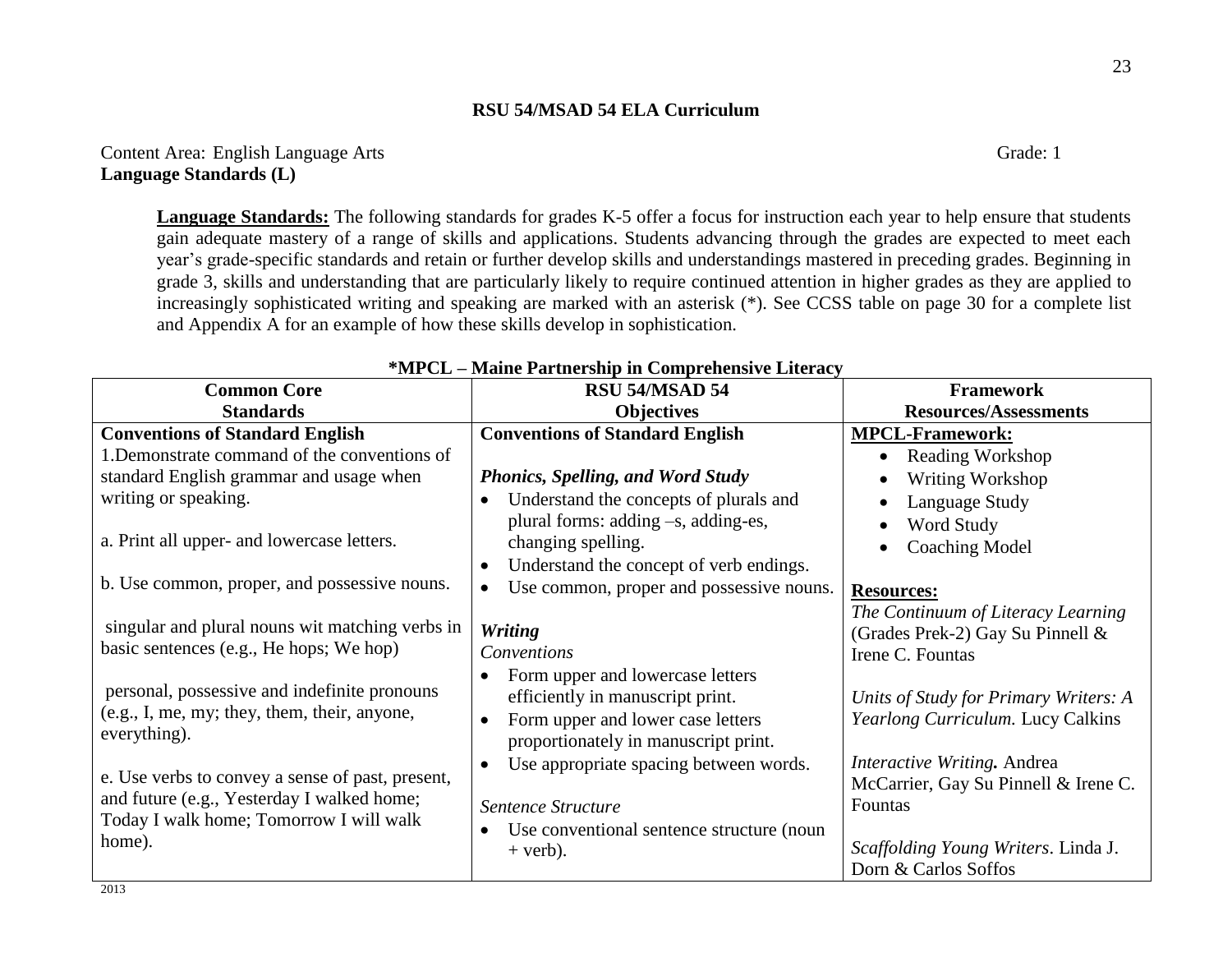Content Area: English Language Arts Grade: 1 **Language Standards (L)**

**Language Standards:** The following standards for grades K-5 offer a focus for instruction each year to help ensure that students gain adequate mastery of a range of skills and applications. Students advancing through the grades are expected to meet each year's grade-specific standards and retain or further develop skills and understandings mastered in preceding grades. Beginning in grade 3, skills and understanding that are particularly likely to require continued attention in higher grades as they are applied to increasingly sophisticated writing and speaking are marked with an asterisk (\*). See CCSS table on page 30 for a complete list and Appendix A for an example of how these skills develop in sophistication.

| <b>Common Core</b>                               | RSU 54/MSAD 54                                        | <b>Framework</b>                      |
|--------------------------------------------------|-------------------------------------------------------|---------------------------------------|
| <b>Standards</b>                                 | <b>Objectives</b>                                     | <b>Resources/Assessments</b>          |
| <b>Conventions of Standard English</b>           | <b>Conventions of Standard English</b>                | <b>MPCL-Framework:</b>                |
| 1. Demonstrate command of the conventions of     |                                                       | Reading Workshop                      |
| standard English grammar and usage when          | <b>Phonics, Spelling, and Word Study</b>              | Writing Workshop                      |
| writing or speaking.                             | Understand the concepts of plurals and                | Language Study                        |
|                                                  | plural forms: adding -s, adding-es,                   | Word Study                            |
| a. Print all upper- and lowercase letters.       | changing spelling.                                    | <b>Coaching Model</b>                 |
|                                                  | Understand the concept of verb endings.               |                                       |
| b. Use common, proper, and possessive nouns.     | Use common, proper and possessive nouns.<br>$\bullet$ | <b>Resources:</b>                     |
| singular and plural nouns wit matching verbs in  | <b>Writing</b>                                        | The Continuum of Literacy Learning    |
| basic sentences (e.g., He hops; We hop)          | Conventions                                           | (Grades Prek-2) Gay Su Pinnell &      |
|                                                  |                                                       | Irene C. Fountas                      |
| personal, possessive and indefinite pronouns     | Form upper and lowercase letters                      |                                       |
| (e.g., I, me, my; they, them, their, anyone,     | efficiently in manuscript print.                      | Units of Study for Primary Writers: A |
| everything).                                     | Form upper and lower case letters                     | Yearlong Curriculum. Lucy Calkins     |
|                                                  | proportionately in manuscript print.                  |                                       |
| e. Use verbs to convey a sense of past, present, | Use appropriate spacing between words.                | Interactive Writing. Andrea           |
| and future (e.g., Yesterday I walked home;       |                                                       | McCarrier, Gay Su Pinnell & Irene C.  |
| Today I walk home; Tomorrow I will walk          | Sentence Structure                                    | Fountas                               |
|                                                  | Use conventional sentence structure (noun             |                                       |
| home).                                           | $+$ verb).                                            | Scaffolding Young Writers. Linda J.   |
| 2013                                             |                                                       | Dorn & Carlos Soffos                  |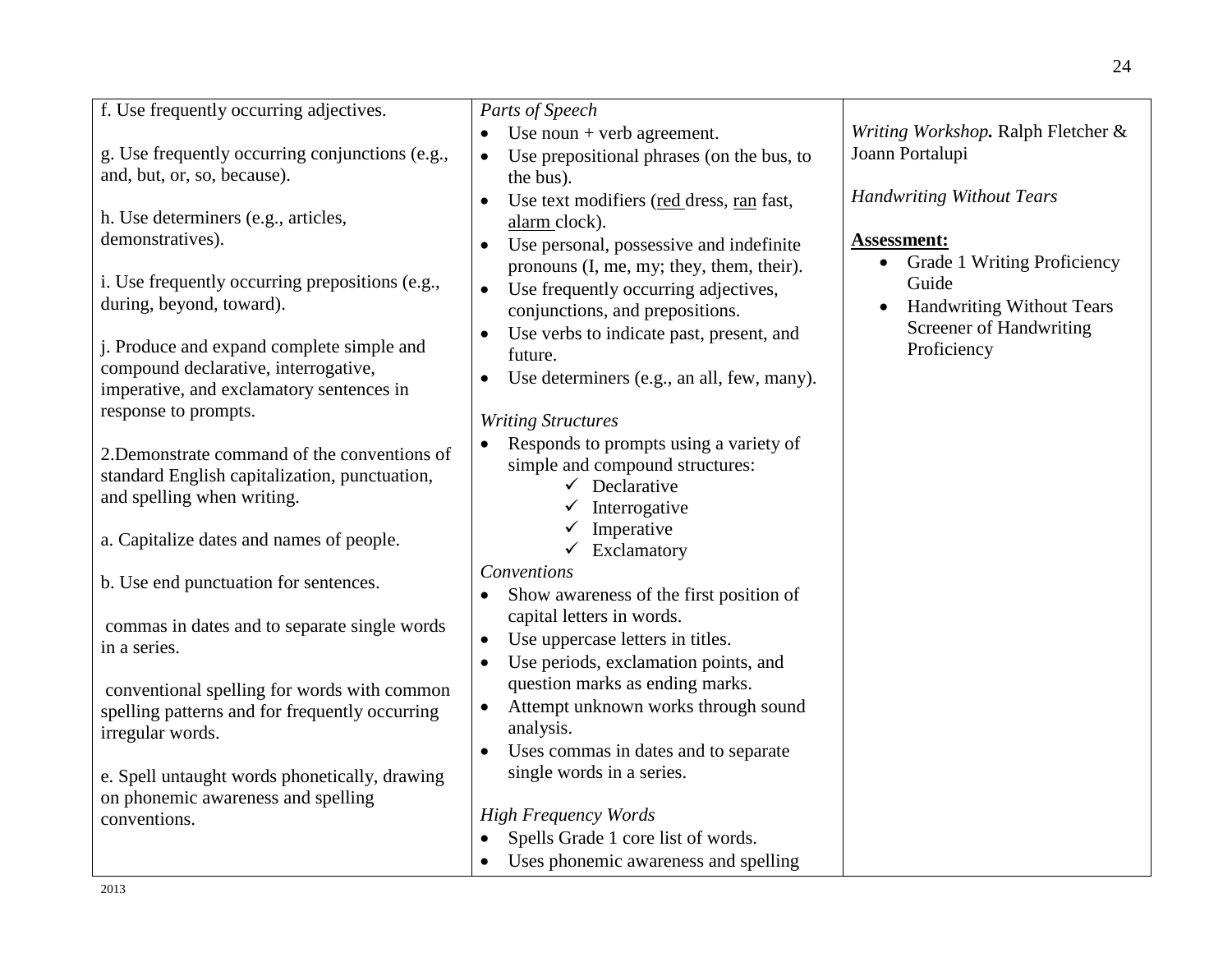| f. Use frequently occurring adjectives.         | Parts of Speech                                      |                                                 |
|-------------------------------------------------|------------------------------------------------------|-------------------------------------------------|
|                                                 | Use noun $+$ verb agreement.                         | Writing Workshop. Ralph Fletcher &              |
| g. Use frequently occurring conjunctions (e.g., | Use prepositional phrases (on the bus, to            | Joann Portalupi                                 |
| and, but, or, so, because).                     | the bus).                                            |                                                 |
|                                                 | Use text modifiers (red dress, ran fast,             | <b>Handwriting Without Tears</b>                |
| h. Use determiners (e.g., articles,             | alarm clock).                                        |                                                 |
| demonstratives).                                | Use personal, possessive and indefinite<br>$\bullet$ | <b>Assessment:</b>                              |
|                                                 | pronouns (I, me, my; they, them, their).             | <b>Grade 1 Writing Proficiency</b><br>$\bullet$ |
| i. Use frequently occurring prepositions (e.g., | Use frequently occurring adjectives,<br>$\bullet$    | Guide                                           |
| during, beyond, toward).                        | conjunctions, and prepositions.                      | <b>Handwriting Without Tears</b>                |
|                                                 | Use verbs to indicate past, present, and             | Screener of Handwriting                         |
| j. Produce and expand complete simple and       | future.                                              | Proficiency                                     |
| compound declarative, interrogative,            | Use determiners (e.g., an all, few, many).           |                                                 |
| imperative, and exclamatory sentences in        |                                                      |                                                 |
| response to prompts.                            | <b>Writing Structures</b>                            |                                                 |
|                                                 | Responds to prompts using a variety of               |                                                 |
| 2. Demonstrate command of the conventions of    | simple and compound structures:                      |                                                 |
| standard English capitalization, punctuation,   | $\checkmark$ Declarative                             |                                                 |
| and spelling when writing.                      | $\checkmark$ Interrogative                           |                                                 |
|                                                 | $\checkmark$ Imperative                              |                                                 |
| a. Capitalize dates and names of people.        | $\checkmark$ Exclamatory                             |                                                 |
| b. Use end punctuation for sentences.           | Conventions                                          |                                                 |
|                                                 | Show awareness of the first position of              |                                                 |
| commas in dates and to separate single words    | capital letters in words.                            |                                                 |
| in a series.                                    | Use uppercase letters in titles.<br>$\bullet$        |                                                 |
|                                                 | Use periods, exclamation points, and<br>$\bullet$    |                                                 |
| conventional spelling for words with common     | question marks as ending marks.                      |                                                 |
| spelling patterns and for frequently occurring  | Attempt unknown works through sound<br>$\bullet$     |                                                 |
| irregular words.                                | analysis.                                            |                                                 |
|                                                 | Uses commas in dates and to separate                 |                                                 |
| e. Spell untaught words phonetically, drawing   | single words in a series.                            |                                                 |
| on phonemic awareness and spelling              |                                                      |                                                 |
| conventions.                                    | <b>High Frequency Words</b>                          |                                                 |
|                                                 | Spells Grade 1 core list of words.                   |                                                 |
|                                                 | Uses phonemic awareness and spelling<br>$\bullet$    |                                                 |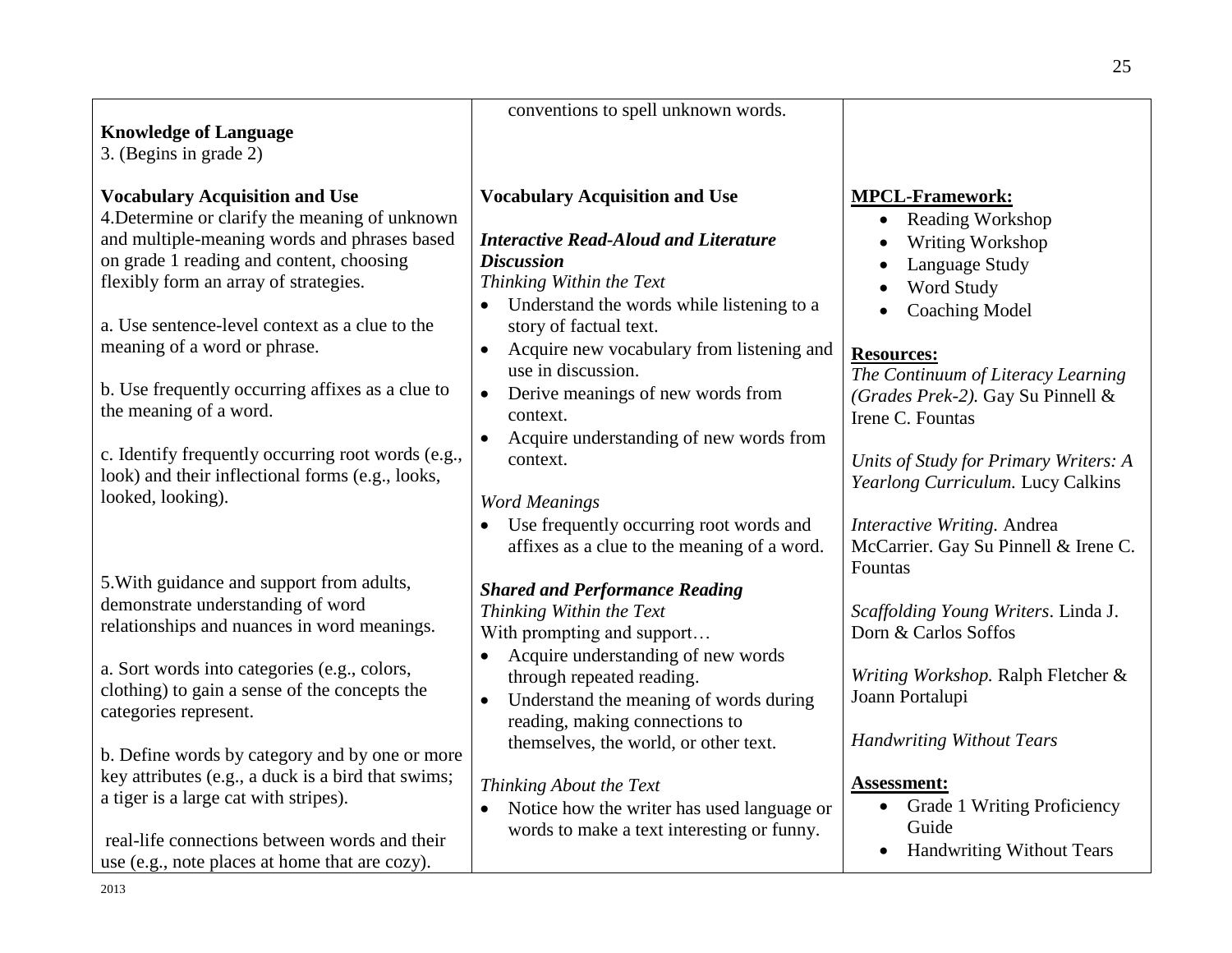|                                                                                                        | conventions to spell unknown words.                               |                                                             |
|--------------------------------------------------------------------------------------------------------|-------------------------------------------------------------------|-------------------------------------------------------------|
| <b>Knowledge of Language</b>                                                                           |                                                                   |                                                             |
| 3. (Begins in grade 2)                                                                                 |                                                                   |                                                             |
| <b>Vocabulary Acquisition and Use</b>                                                                  | <b>Vocabulary Acquisition and Use</b>                             | <b>MPCL-Framework:</b>                                      |
| 4. Determine or clarify the meaning of unknown                                                         |                                                                   | <b>Reading Workshop</b><br>$\bullet$                        |
| and multiple-meaning words and phrases based                                                           | <b>Interactive Read-Aloud and Literature</b>                      | Writing Workshop<br>$\bullet$                               |
| on grade 1 reading and content, choosing                                                               | <b>Discussion</b>                                                 | Language Study                                              |
| flexibly form an array of strategies.                                                                  | Thinking Within the Text                                          | Word Study                                                  |
|                                                                                                        | Understand the words while listening to a                         | <b>Coaching Model</b><br>$\bullet$                          |
| a. Use sentence-level context as a clue to the                                                         | story of factual text.                                            |                                                             |
| meaning of a word or phrase.                                                                           | Acquire new vocabulary from listening and<br>$\bullet$            | <b>Resources:</b>                                           |
|                                                                                                        | use in discussion.                                                | The Continuum of Literacy Learning                          |
| b. Use frequently occurring affixes as a clue to                                                       | Derive meanings of new words from<br>$\bullet$                    | (Grades Prek-2). Gay Su Pinnell &                           |
| the meaning of a word.                                                                                 | context.                                                          | Irene C. Fountas                                            |
|                                                                                                        | Acquire understanding of new words from                           |                                                             |
| c. Identify frequently occurring root words (e.g.,<br>look) and their inflectional forms (e.g., looks, | context.                                                          | Units of Study for Primary Writers: A                       |
| looked, looking).                                                                                      |                                                                   | Yearlong Curriculum. Lucy Calkins                           |
|                                                                                                        | <b>Word Meanings</b>                                              |                                                             |
|                                                                                                        | Use frequently occurring root words and                           | Interactive Writing. Andrea                                 |
|                                                                                                        | affixes as a clue to the meaning of a word.                       | McCarrier. Gay Su Pinnell & Irene C.                        |
| 5. With guidance and support from adults,                                                              |                                                                   | Fountas                                                     |
| demonstrate understanding of word                                                                      | <b>Shared and Performance Reading</b><br>Thinking Within the Text |                                                             |
| relationships and nuances in word meanings.                                                            | With prompting and support                                        | Scaffolding Young Writers. Linda J.<br>Dorn & Carlos Soffos |
|                                                                                                        | Acquire understanding of new words                                |                                                             |
| a. Sort words into categories (e.g., colors,                                                           | through repeated reading.                                         | Writing Workshop. Ralph Fletcher &                          |
| clothing) to gain a sense of the concepts the                                                          | Understand the meaning of words during                            | Joann Portalupi                                             |
| categories represent.                                                                                  | reading, making connections to                                    |                                                             |
|                                                                                                        | themselves, the world, or other text.                             | <b>Handwriting Without Tears</b>                            |
| b. Define words by category and by one or more                                                         |                                                                   |                                                             |
| key attributes (e.g., a duck is a bird that swims;                                                     | Thinking About the Text                                           | <b>Assessment:</b>                                          |
| a tiger is a large cat with stripes).                                                                  | Notice how the writer has used language or<br>$\bullet$           | <b>Grade 1 Writing Proficiency</b><br>$\bullet$             |
|                                                                                                        | words to make a text interesting or funny.                        | Guide                                                       |
| real-life connections between words and their                                                          |                                                                   | <b>Handwriting Without Tears</b><br>$\bullet$               |
| use (e.g., note places at home that are cozy).                                                         |                                                                   |                                                             |